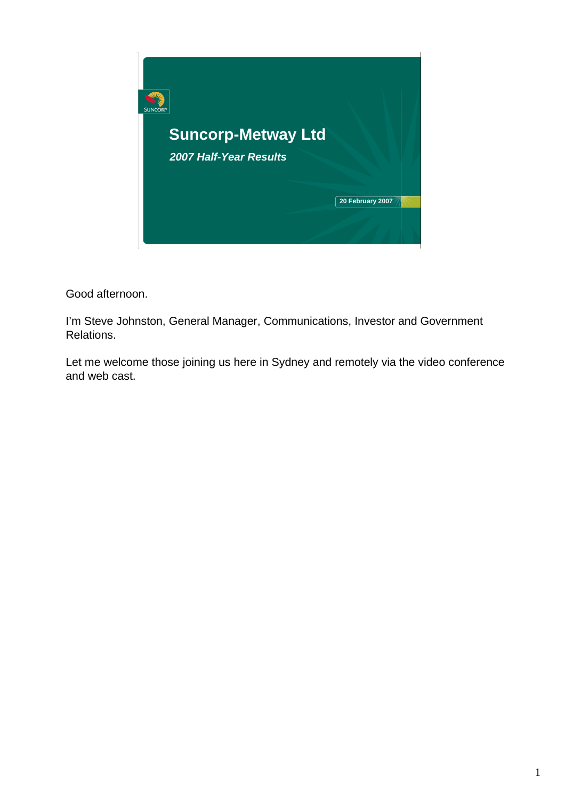

Good afternoon.

I'm Steve Johnston, General Manager, Communications, Investor and Government Relations.

Let me welcome those joining us here in Sydney and remotely via the video conference and web cast.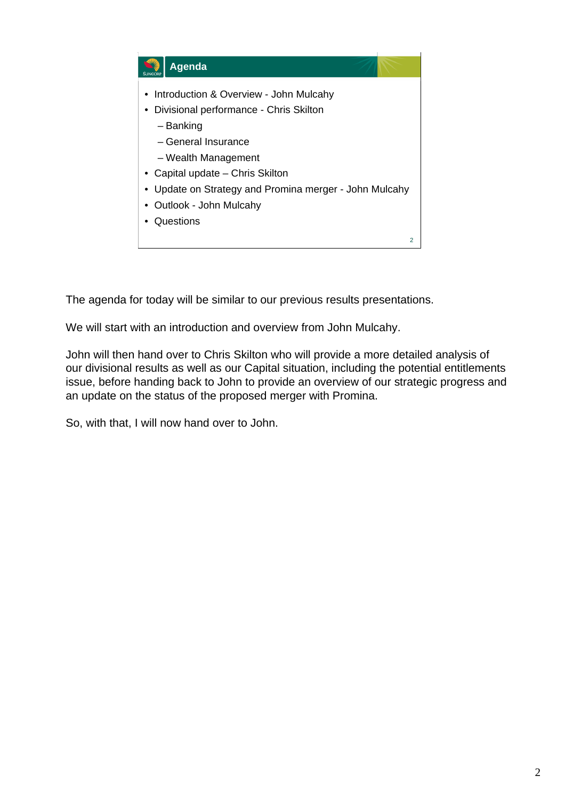

The agenda for today will be similar to our previous results presentations.

We will start with an introduction and overview from John Mulcahy.

John will then hand over to Chris Skilton who will provide a more detailed analysis of our divisional results as well as our Capital situation, including the potential entitlements issue, before handing back to John to provide an overview of our strategic progress and an update on the status of the proposed merger with Promina.

So, with that, I will now hand over to John.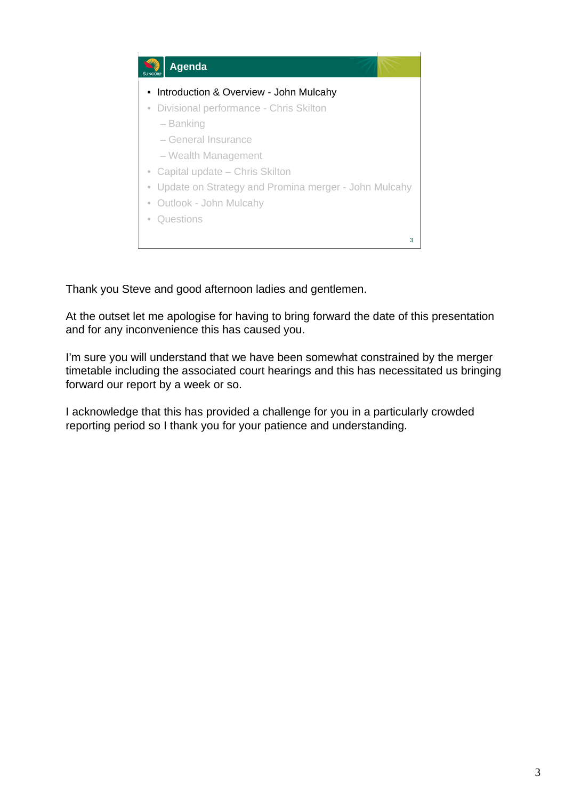

Thank you Steve and good afternoon ladies and gentlemen.

At the outset let me apologise for having to bring forward the date of this presentation and for any inconvenience this has caused you.

I'm sure you will understand that we have been somewhat constrained by the merger timetable including the associated court hearings and this has necessitated us bringing forward our report by a week or so.

I acknowledge that this has provided a challenge for you in a particularly crowded reporting period so I thank you for your patience and understanding.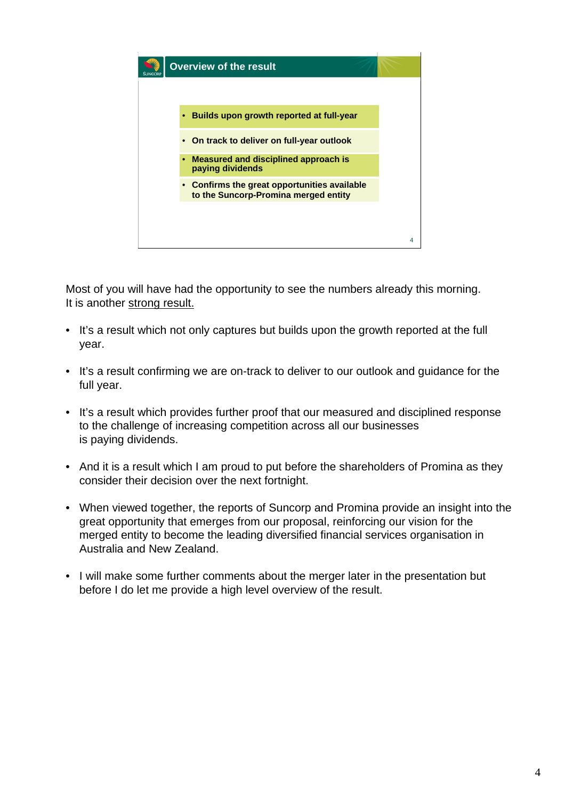

Most of you will have had the opportunity to see the numbers already this morning. It is another strong result.

- It's a result which not only captures but builds upon the growth reported at the full year.
- It's a result confirming we are on-track to deliver to our outlook and guidance for the full year.
- It's a result which provides further proof that our measured and disciplined response to the challenge of increasing competition across all our businesses is paying dividends.
- And it is a result which I am proud to put before the shareholders of Promina as they consider their decision over the next fortnight.
- When viewed together, the reports of Suncorp and Promina provide an insight into the great opportunity that emerges from our proposal, reinforcing our vision for the merged entity to become the leading diversified financial services organisation in Australia and New Zealand.
- I will make some further comments about the merger later in the presentation but before I do let me provide a high level overview of the result.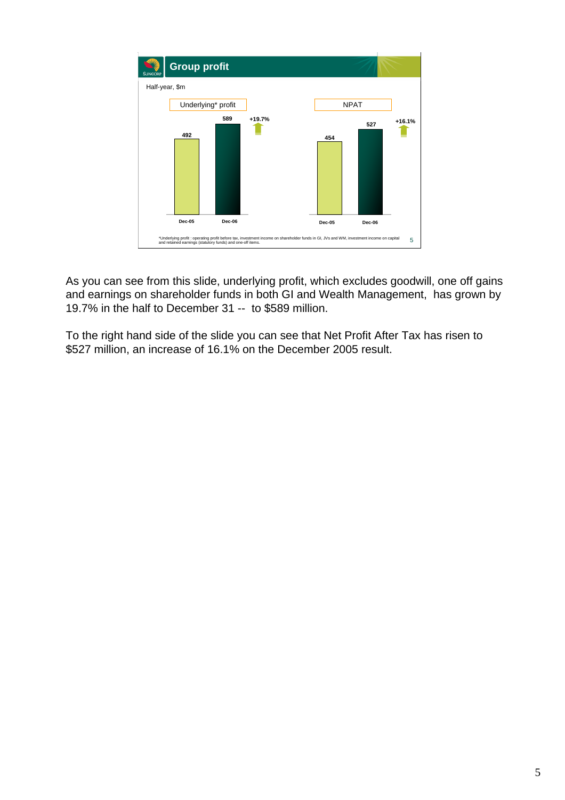

As you can see from this slide, underlying profit, which excludes goodwill, one off gains and earnings on shareholder funds in both GI and Wealth Management, has grown by 19.7% in the half to December 31 -- to \$589 million.

To the right hand side of the slide you can see that Net Profit After Tax has risen to \$527 million, an increase of 16.1% on the December 2005 result.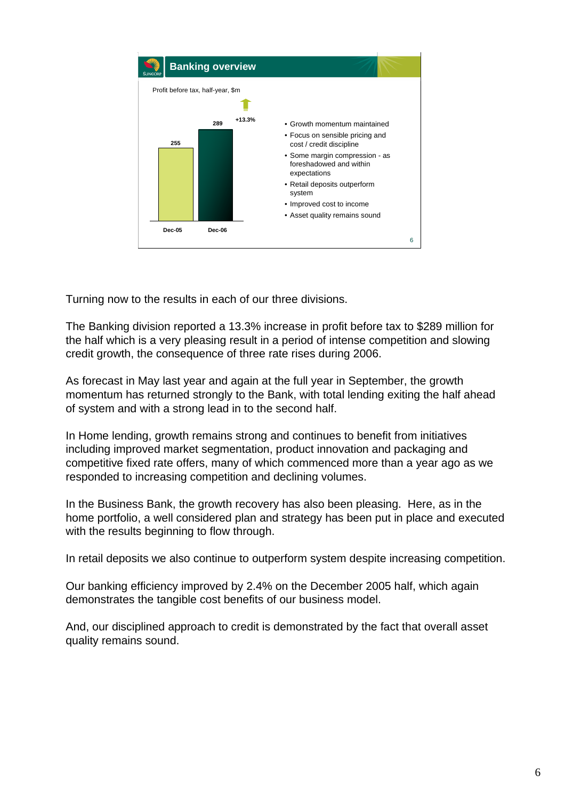

Turning now to the results in each of our three divisions.

The Banking division reported a 13.3% increase in profit before tax to \$289 million for the half which is a very pleasing result in a period of intense competition and slowing credit growth, the consequence of three rate rises during 2006.

As forecast in May last year and again at the full year in September, the growth momentum has returned strongly to the Bank, with total lending exiting the half ahead of system and with a strong lead in to the second half.

In Home lending, growth remains strong and continues to benefit from initiatives including improved market segmentation, product innovation and packaging and competitive fixed rate offers, many of which commenced more than a year ago as we responded to increasing competition and declining volumes.

In the Business Bank, the growth recovery has also been pleasing. Here, as in the home portfolio, a well considered plan and strategy has been put in place and executed with the results beginning to flow through.

In retail deposits we also continue to outperform system despite increasing competition.

Our banking efficiency improved by 2.4% on the December 2005 half, which again demonstrates the tangible cost benefits of our business model.

And, our disciplined approach to credit is demonstrated by the fact that overall asset quality remains sound.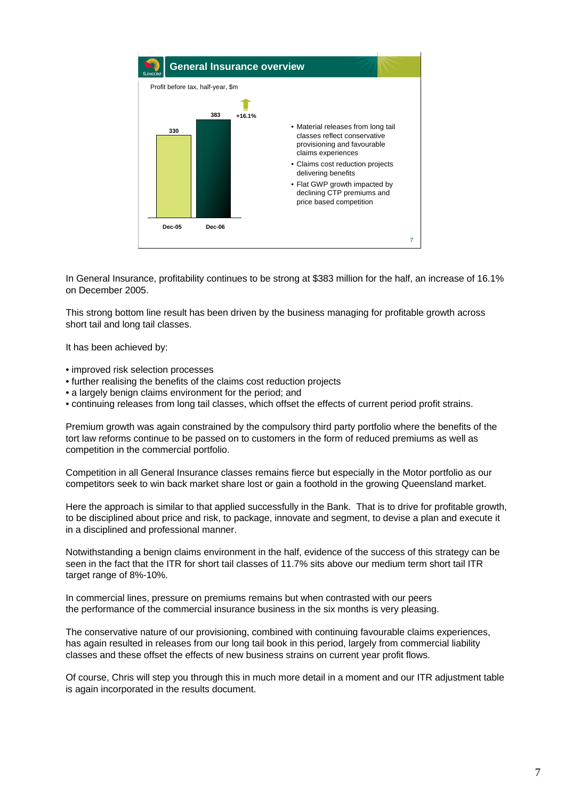

In General Insurance, profitability continues to be strong at \$383 million for the half, an increase of 16.1% on December 2005.

This strong bottom line result has been driven by the business managing for profitable growth across short tail and long tail classes.

It has been achieved by:

- improved risk selection processes
- further realising the benefits of the claims cost reduction projects
- a largely benign claims environment for the period; and
- continuing releases from long tail classes, which offset the effects of current period profit strains.

Premium growth was again constrained by the compulsory third party portfolio where the benefits of the tort law reforms continue to be passed on to customers in the form of reduced premiums as well as competition in the commercial portfolio.

Competition in all General Insurance classes remains fierce but especially in the Motor portfolio as our competitors seek to win back market share lost or gain a foothold in the growing Queensland market.

Here the approach is similar to that applied successfully in the Bank. That is to drive for profitable growth, to be disciplined about price and risk, to package, innovate and segment, to devise a plan and execute it in a disciplined and professional manner.

Notwithstanding a benign claims environment in the half, evidence of the success of this strategy can be seen in the fact that the ITR for short tail classes of 11.7% sits above our medium term short tail ITR target range of 8%-10%.

In commercial lines, pressure on premiums remains but when contrasted with our peers the performance of the commercial insurance business in the six months is very pleasing.

The conservative nature of our provisioning, combined with continuing favourable claims experiences, has again resulted in releases from our long tail book in this period, largely from commercial liability classes and these offset the effects of new business strains on current year profit flows.

Of course, Chris will step you through this in much more detail in a moment and our ITR adjustment table is again incorporated in the results document.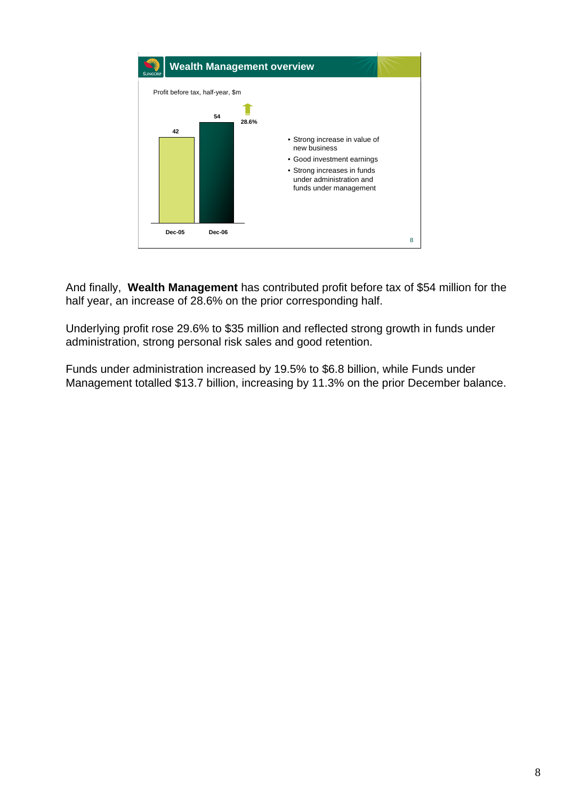

And finally, **Wealth Management** has contributed profit before tax of \$54 million for the half year, an increase of 28.6% on the prior corresponding half.

Underlying profit rose 29.6% to \$35 million and reflected strong growth in funds under administration, strong personal risk sales and good retention.

Funds under administration increased by 19.5% to \$6.8 billion, while Funds under Management totalled \$13.7 billion, increasing by 11.3% on the prior December balance.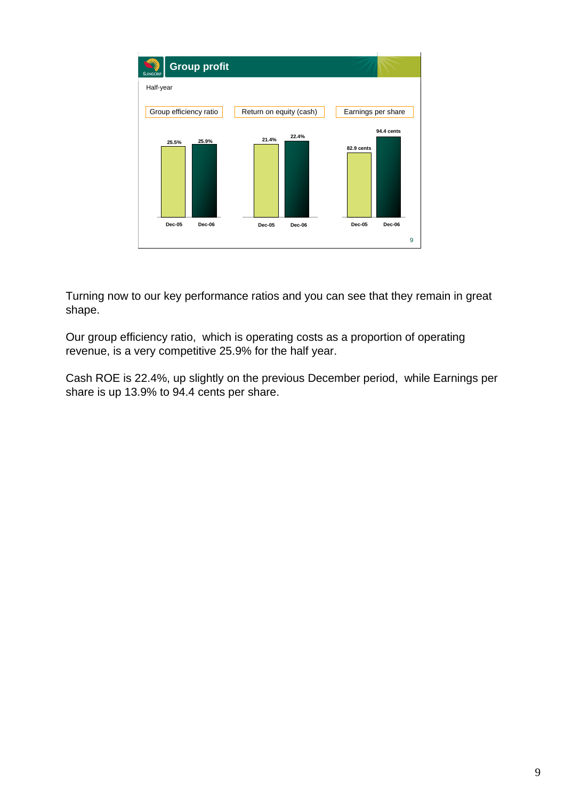

Turning now to our key performance ratios and you can see that they remain in great shape.

Our group efficiency ratio, which is operating costs as a proportion of operating revenue, is a very competitive 25.9% for the half year.

Cash ROE is 22.4%, up slightly on the previous December period, while Earnings per share is up 13.9% to 94.4 cents per share.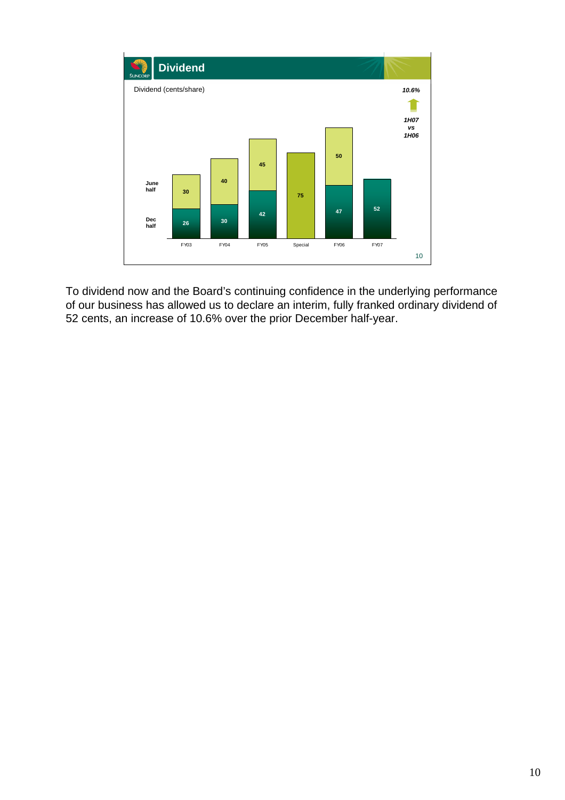

To dividend now and the Board's continuing confidence in the underlying performance of our business has allowed us to declare an interim, fully franked ordinary dividend of 52 cents, an increase of 10.6% over the prior December half-year.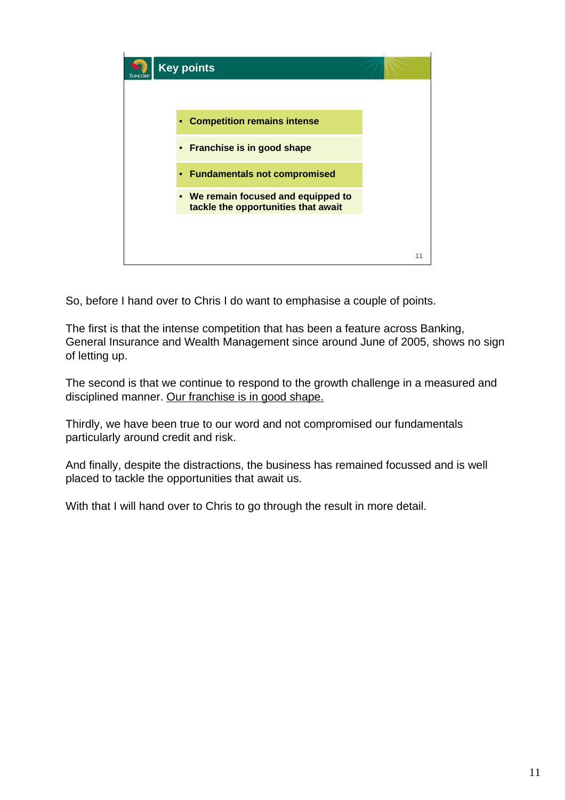

So, before I hand over to Chris I do want to emphasise a couple of points.

The first is that the intense competition that has been a feature across Banking, General Insurance and Wealth Management since around June of 2005, shows no sign of letting up.

The second is that we continue to respond to the growth challenge in a measured and disciplined manner. Our franchise is in good shape.

Thirdly, we have been true to our word and not compromised our fundamentals particularly around credit and risk.

And finally, despite the distractions, the business has remained focussed and is well placed to tackle the opportunities that await us.

With that I will hand over to Chris to go through the result in more detail.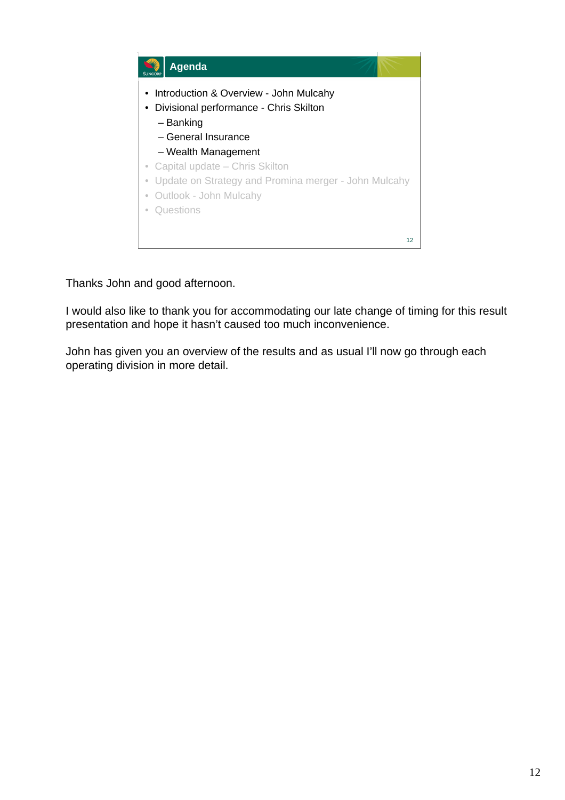

Thanks John and good afternoon.

I would also like to thank you for accommodating our late change of timing for this result presentation and hope it hasn't caused too much inconvenience.

John has given you an overview of the results and as usual I'll now go through each operating division in more detail.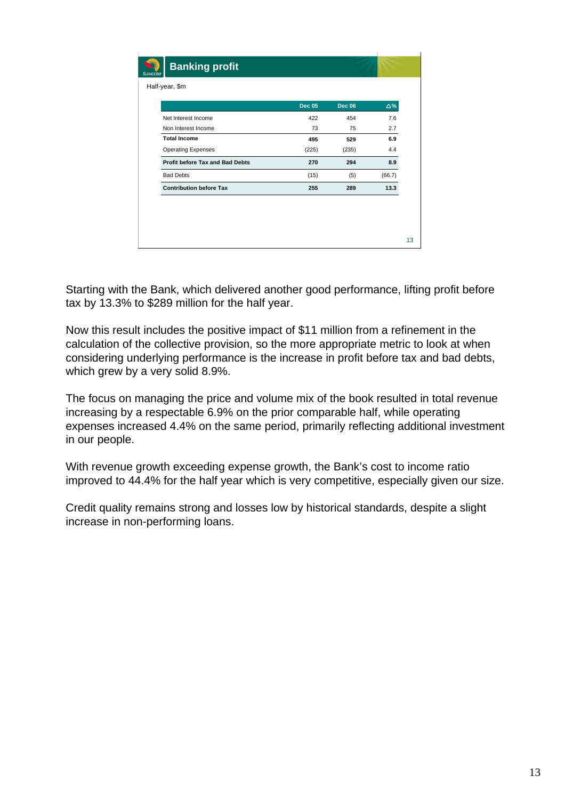|                                 | <b>Dec 05</b> | <b>Dec 06</b> | Δ%     |
|---------------------------------|---------------|---------------|--------|
| Net Interest Income             | 422           | 454           | 7.6    |
| Non Interest Income             | 73            | 75            | 2.7    |
| <b>Total Income</b>             | 495           | 529           | 6.9    |
| <b>Operating Expenses</b>       | (225)         | (235)         | 4.4    |
| Profit before Tax and Bad Debts | 270           | 294           | 8.9    |
| <b>Bad Debts</b>                | (15)          | (5)           | (66.7) |
| <b>Contribution before Tax</b>  | 255           | 289           | 13.3   |

Starting with the Bank, which delivered another good performance, lifting profit before tax by 13.3% to \$289 million for the half year.

Now this result includes the positive impact of \$11 million from a refinement in the calculation of the collective provision, so the more appropriate metric to look at when considering underlying performance is the increase in profit before tax and bad debts, which grew by a very solid 8.9%.

The focus on managing the price and volume mix of the book resulted in total revenue increasing by a respectable 6.9% on the prior comparable half, while operating expenses increased 4.4% on the same period, primarily reflecting additional investment in our people.

With revenue growth exceeding expense growth, the Bank's cost to income ratio improved to 44.4% for the half year which is very competitive, especially given our size.

Credit quality remains strong and losses low by historical standards, despite a slight increase in non-performing loans.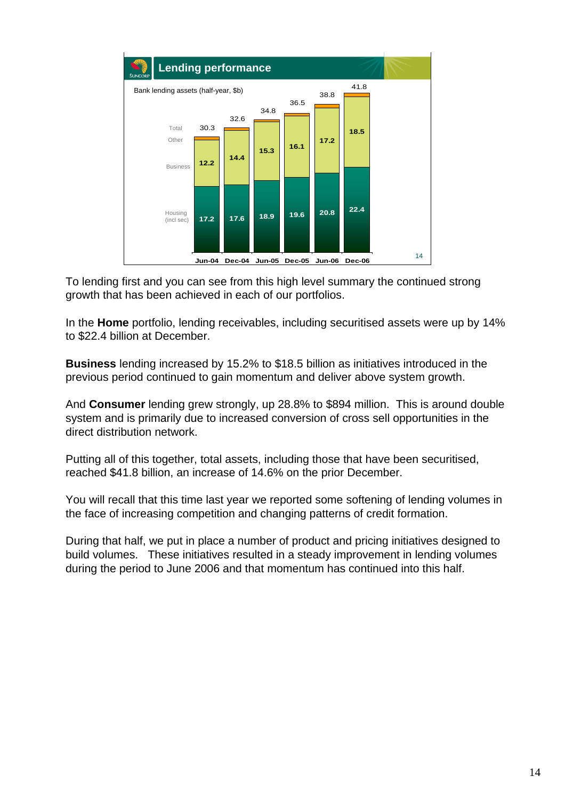

To lending first and you can see from this high level summary the continued strong growth that has been achieved in each of our portfolios.

In the **Home** portfolio, lending receivables, including securitised assets were up by 14% to \$22.4 billion at December.

**Business** lending increased by 15.2% to \$18.5 billion as initiatives introduced in the previous period continued to gain momentum and deliver above system growth.

And **Consumer** lending grew strongly, up 28.8% to \$894 million. This is around double system and is primarily due to increased conversion of cross sell opportunities in the direct distribution network.

Putting all of this together, total assets, including those that have been securitised, reached \$41.8 billion, an increase of 14.6% on the prior December.

You will recall that this time last year we reported some softening of lending volumes in the face of increasing competition and changing patterns of credit formation.

During that half, we put in place a number of product and pricing initiatives designed to build volumes. These initiatives resulted in a steady improvement in lending volumes during the period to June 2006 and that momentum has continued into this half.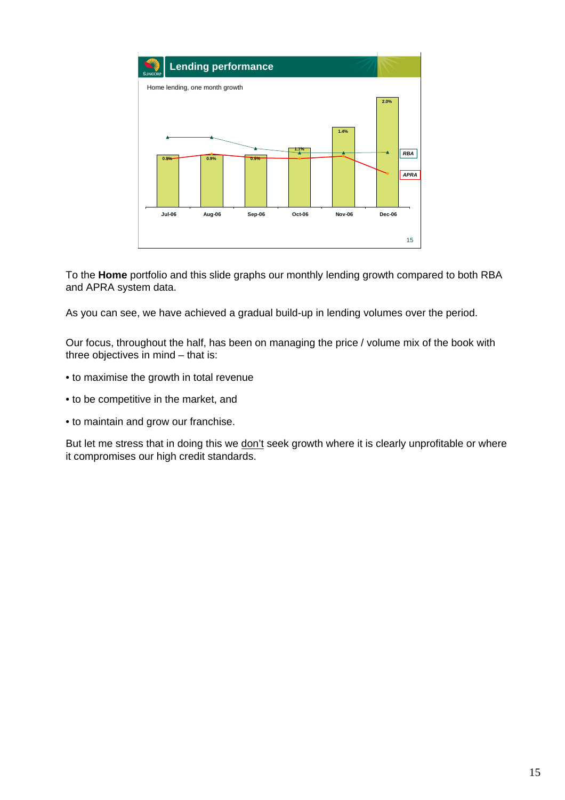

To the **Home** portfolio and this slide graphs our monthly lending growth compared to both RBA and APRA system data.

As you can see, we have achieved a gradual build-up in lending volumes over the period.

Our focus, throughout the half, has been on managing the price / volume mix of the book with three objectives in mind – that is:

- to maximise the growth in total revenue
- to be competitive in the market, and
- to maintain and grow our franchise.

But let me stress that in doing this we don't seek growth where it is clearly unprofitable or where it compromises our high credit standards.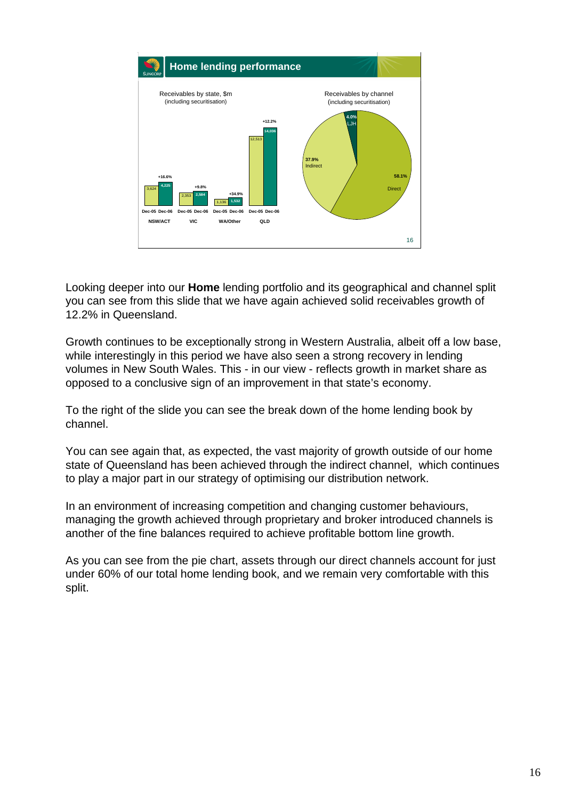

Looking deeper into our **Home** lending portfolio and its geographical and channel split you can see from this slide that we have again achieved solid receivables growth of 12.2% in Queensland.

Growth continues to be exceptionally strong in Western Australia, albeit off a low base, while interestingly in this period we have also seen a strong recovery in lending volumes in New South Wales. This - in our view - reflects growth in market share as opposed to a conclusive sign of an improvement in that state's economy.

To the right of the slide you can see the break down of the home lending book by channel.

You can see again that, as expected, the vast majority of growth outside of our home state of Queensland has been achieved through the indirect channel, which continues to play a major part in our strategy of optimising our distribution network.

In an environment of increasing competition and changing customer behaviours, managing the growth achieved through proprietary and broker introduced channels is another of the fine balances required to achieve profitable bottom line growth.

As you can see from the pie chart, assets through our direct channels account for just under 60% of our total home lending book, and we remain very comfortable with this split.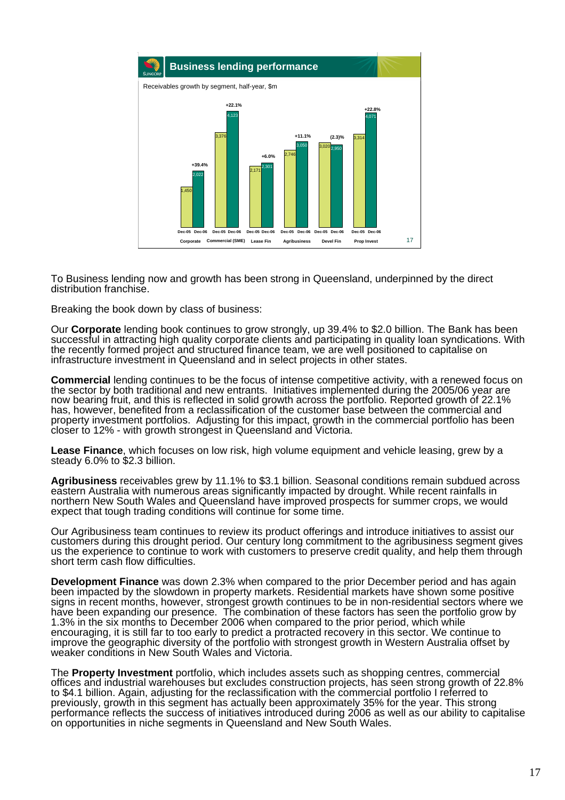

To Business lending now and growth has been strong in Queensland, underpinned by the direct distribution franchise.

Breaking the book down by class of business:

Our **Corporate** lending book continues to grow strongly, up 39.4% to \$2.0 billion. The Bank has been successful in attracting high quality corporate clients and participating in quality loan syndications. With the recently formed project and structured finance team, we are well positioned to capitalise on infrastructure investment in Queensland and in select projects in other states.

**Commercial** lending continues to be the focus of intense competitive activity, with a renewed focus on the sector by both traditional and new entrants. Initiatives implemented during the 2005/06 year are now bearing fruit, and this is reflected in solid growth across the portfolio. Reported growth of 22.1% has, however, benefited from a reclassification of the customer base between the commercial and property investment portfolios. Adjusting for this impact, growth in the commercial portfolio has been closer to 12% - with growth strongest in Queensland and Victoria.

Lease Finance, which focuses on low risk, high volume equipment and vehicle leasing, grew by a steady 6.0% to \$2.3 billion.

**Agribusiness** receivables grew by 11.1% to \$3.1 billion. Seasonal conditions remain subdued across eastern Australia with numerous areas significantly impacted by drought. While recent rainfalls in northern New South Wales and Queensland have improved prospects for summer crops, we would expect that tough trading conditions will continue for some time.

Our Agribusiness team continues to review its product offerings and introduce initiatives to assist our customers during this drought period. Our century long commitment to the agribusiness segment gives us the experience to continue to work with customers to preserve credit quality, and help them through short term cash flow difficulties.

**Development Finance** was down 2.3% when compared to the prior December period and has again been impacted by the slowdown in property markets. Residential markets have shown some positive signs in recent months, however, strongest growth continues to be in non-residential sectors where we have been expanding our presence. The combination of these factors has seen the portfolio grow by 1.3% in the six months to December 2006 when compared to the prior period, which while encouraging, it is still far to too early to predict a protracted recovery in this sector. We continue to improve the geographic diversity of the portfolio with strongest growth in Western Australia offset by weaker conditions in New South Wales and Victoria.

The **Property Investment** portfolio, which includes assets such as shopping centres, commercial offices and industrial warehouses but excludes construction projects, has seen strong growth of 22.8% to \$4.1 billion. Again, adjusting for the reclassification with the commercial portfolio I referred to previously, growth in this segment has actually been approximately 35% for the year. This strong performance reflects the success of initiatives introduced during 2006 as well as our ability to capitalise on opportunities in niche segments in Queensland and New South Wales.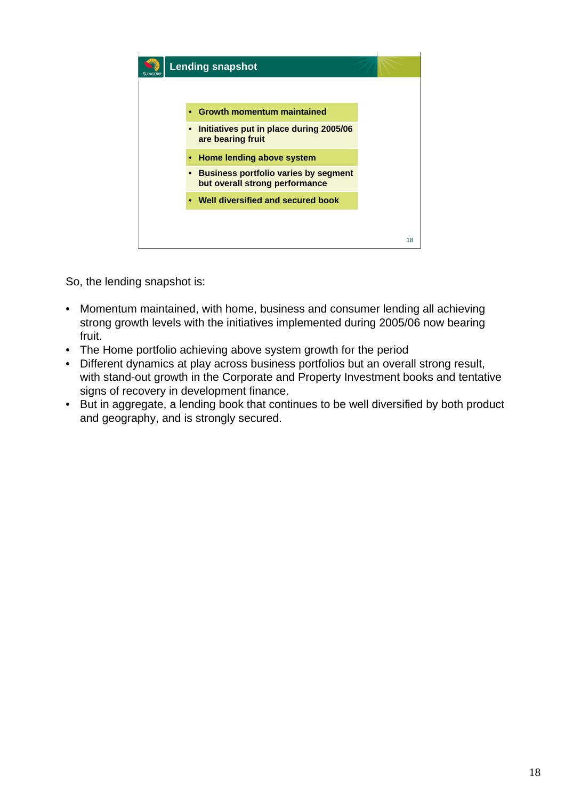

So, the lending snapshot is:

- Momentum maintained, with home, business and consumer lending all achieving strong growth levels with the initiatives implemented during 2005/06 now bearing fruit.
- The Home portfolio achieving above system growth for the period
- Different dynamics at play across business portfolios but an overall strong result, with stand-out growth in the Corporate and Property Investment books and tentative signs of recovery in development finance.
- But in aggregate, a lending book that continues to be well diversified by both product and geography, and is strongly secured.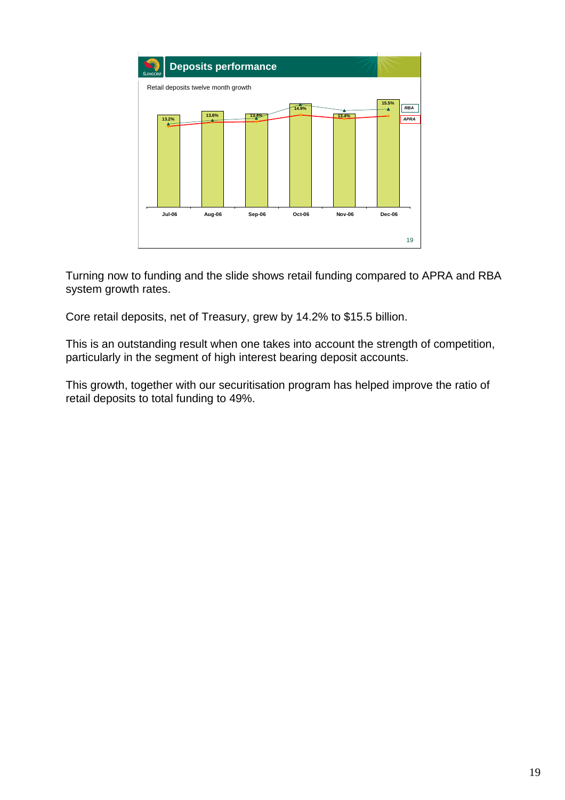

Turning now to funding and the slide shows retail funding compared to APRA and RBA system growth rates.

Core retail deposits, net of Treasury, grew by 14.2% to \$15.5 billion.

This is an outstanding result when one takes into account the strength of competition, particularly in the segment of high interest bearing deposit accounts.

This growth, together with our securitisation program has helped improve the ratio of retail deposits to total funding to 49%.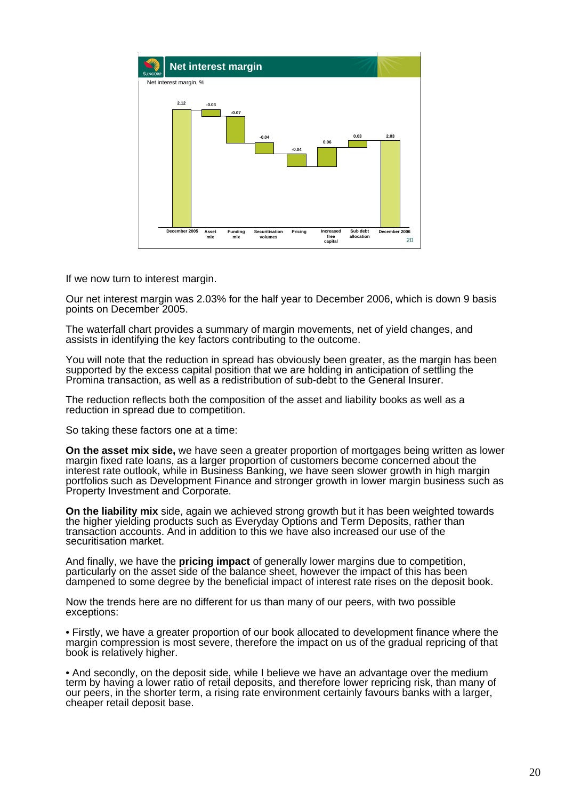

If we now turn to interest margin.

Our net interest margin was 2.03% for the half year to December 2006, which is down 9 basis points on December 2005.

The waterfall chart provides a summary of margin movements, net of yield changes, and assists in identifying the key factors contributing to the outcome.

You will note that the reduction in spread has obviously been greater, as the margin has been supported by the excess capital position that we are holding in anticipation of settling the Promina transaction, as well as a redistribution of sub-debt to the General Insurer.

The reduction reflects both the composition of the asset and liability books as well as a reduction in spread due to competition.

So taking these factors one at a time:

**On the asset mix side,** we have seen a greater proportion of mortgages being written as lower margin fixed rate loans, as a larger proportion of customers become concerned about the interest rate outlook, while in Business Banking, we have seen slower growth in high margin portfolios such as Development Finance and stronger growth in lower margin business such as Property Investment and Corporate.

**On the liability mix** side, again we achieved strong growth but it has been weighted towards the higher yielding products such as Everyday Options and Term Deposits, rather than transaction accounts. And in addition to this we have also increased our use of the securitisation market.

And finally, we have the **pricing impact** of generally lower margins due to competition, particularly on the asset side of the balance sheet, however the impact of this has been dampened to some degree by the beneficial impact of interest rate rises on the deposit book.

Now the trends here are no different for us than many of our peers, with two possible exceptions:

• Firstly, we have a greater proportion of our book allocated to development finance where the margin compression is most severe, therefore the impact on us of the gradual repricing of that book is relatively higher.

• And secondly, on the deposit side, while I believe we have an advantage over the medium term by having a lower ratio of retail deposits, and therefore lower repricing risk, than many of our peers, in the shorter term, a rising rate environment certainly favours banks with a larger, cheaper retail deposit base.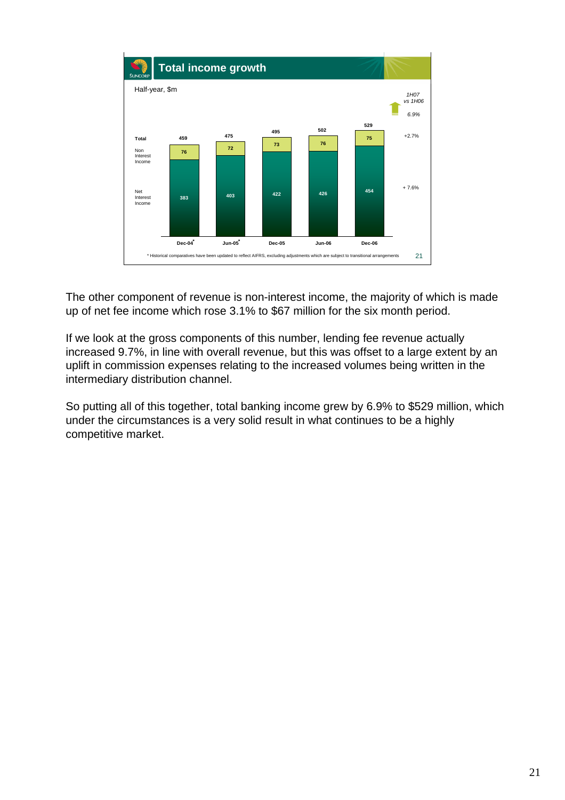

The other component of revenue is non-interest income, the majority of which is made up of net fee income which rose 3.1% to \$67 million for the six month period.

If we look at the gross components of this number, lending fee revenue actually increased 9.7%, in line with overall revenue, but this was offset to a large extent by an uplift in commission expenses relating to the increased volumes being written in the intermediary distribution channel.

So putting all of this together, total banking income grew by 6.9% to \$529 million, which under the circumstances is a very solid result in what continues to be a highly competitive market.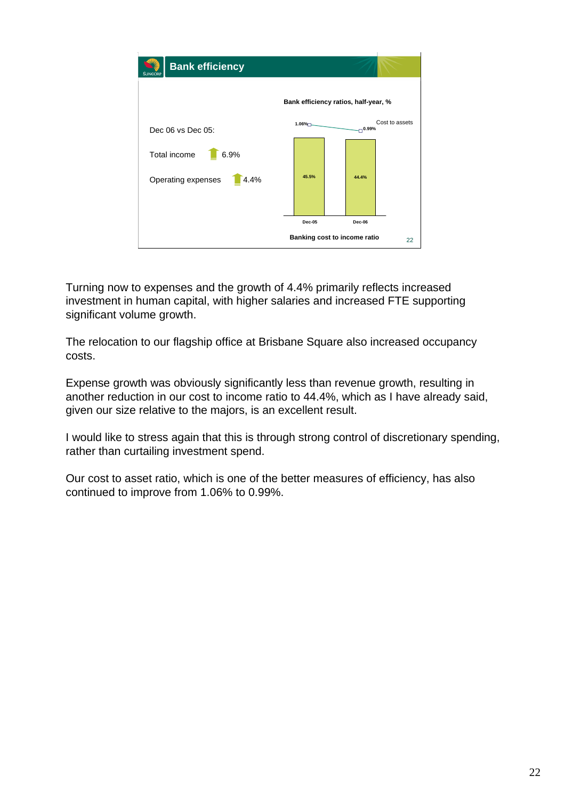

Turning now to expenses and the growth of 4.4% primarily reflects increased investment in human capital, with higher salaries and increased FTE supporting significant volume growth.

The relocation to our flagship office at Brisbane Square also increased occupancy costs.

Expense growth was obviously significantly less than revenue growth, resulting in another reduction in our cost to income ratio to 44.4%, which as I have already said, given our size relative to the majors, is an excellent result.

I would like to stress again that this is through strong control of discretionary spending, rather than curtailing investment spend.

Our cost to asset ratio, which is one of the better measures of efficiency, has also continued to improve from 1.06% to 0.99%.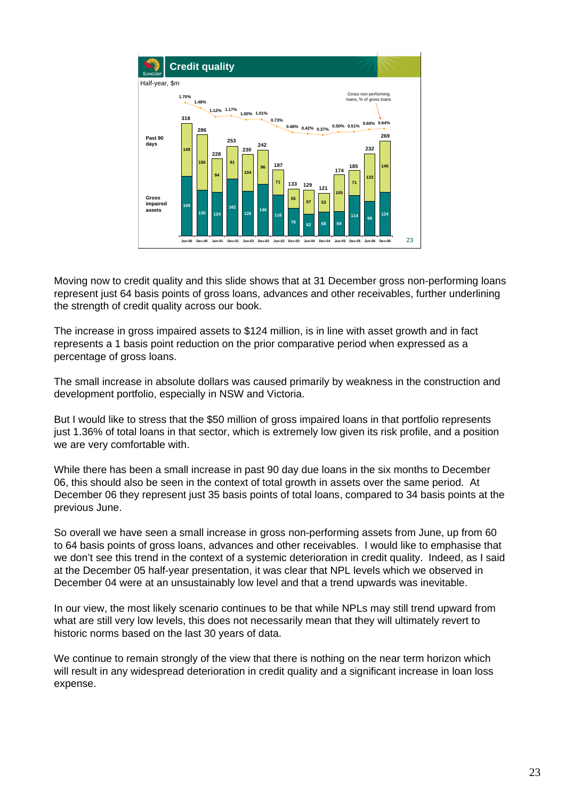

Moving now to credit quality and this slide shows that at 31 December gross non-performing loans represent just 64 basis points of gross loans, advances and other receivables, further underlining the strength of credit quality across our book.

The increase in gross impaired assets to \$124 million, is in line with asset growth and in fact represents a 1 basis point reduction on the prior comparative period when expressed as a percentage of gross loans.

The small increase in absolute dollars was caused primarily by weakness in the construction and development portfolio, especially in NSW and Victoria.

But I would like to stress that the \$50 million of gross impaired loans in that portfolio represents just 1.36% of total loans in that sector, which is extremely low given its risk profile, and a position we are very comfortable with.

While there has been a small increase in past 90 day due loans in the six months to December 06, this should also be seen in the context of total growth in assets over the same period. At December 06 they represent just 35 basis points of total loans, compared to 34 basis points at the previous June.

So overall we have seen a small increase in gross non-performing assets from June, up from 60 to 64 basis points of gross loans, advances and other receivables. I would like to emphasise that we don't see this trend in the context of a systemic deterioration in credit quality. Indeed, as I said at the December 05 half-year presentation, it was clear that NPL levels which we observed in December 04 were at an unsustainably low level and that a trend upwards was inevitable.

In our view, the most likely scenario continues to be that while NPLs may still trend upward from what are still very low levels, this does not necessarily mean that they will ultimately revert to historic norms based on the last 30 years of data.

We continue to remain strongly of the view that there is nothing on the near term horizon which will result in any widespread deterioration in credit quality and a significant increase in loan loss expense.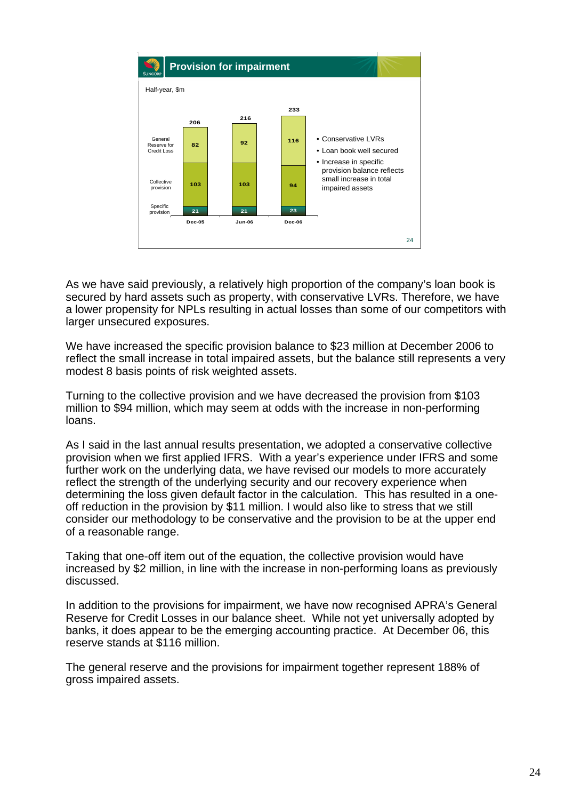

As we have said previously, a relatively high proportion of the company's loan book is secured by hard assets such as property, with conservative LVRs. Therefore, we have a lower propensity for NPLs resulting in actual losses than some of our competitors with larger unsecured exposures.

We have increased the specific provision balance to \$23 million at December 2006 to reflect the small increase in total impaired assets, but the balance still represents a very modest 8 basis points of risk weighted assets.

Turning to the collective provision and we have decreased the provision from \$103 million to \$94 million, which may seem at odds with the increase in non-performing loans.

As I said in the last annual results presentation, we adopted a conservative collective provision when we first applied IFRS. With a year's experience under IFRS and some further work on the underlying data, we have revised our models to more accurately reflect the strength of the underlying security and our recovery experience when determining the loss given default factor in the calculation. This has resulted in a oneoff reduction in the provision by \$11 million. I would also like to stress that we still consider our methodology to be conservative and the provision to be at the upper end of a reasonable range.

Taking that one-off item out of the equation, the collective provision would have increased by \$2 million, in line with the increase in non-performing loans as previously discussed.

In addition to the provisions for impairment, we have now recognised APRA's General Reserve for Credit Losses in our balance sheet. While not yet universally adopted by banks, it does appear to be the emerging accounting practice. At December 06, this reserve stands at \$116 million.

The general reserve and the provisions for impairment together represent 188% of gross impaired assets.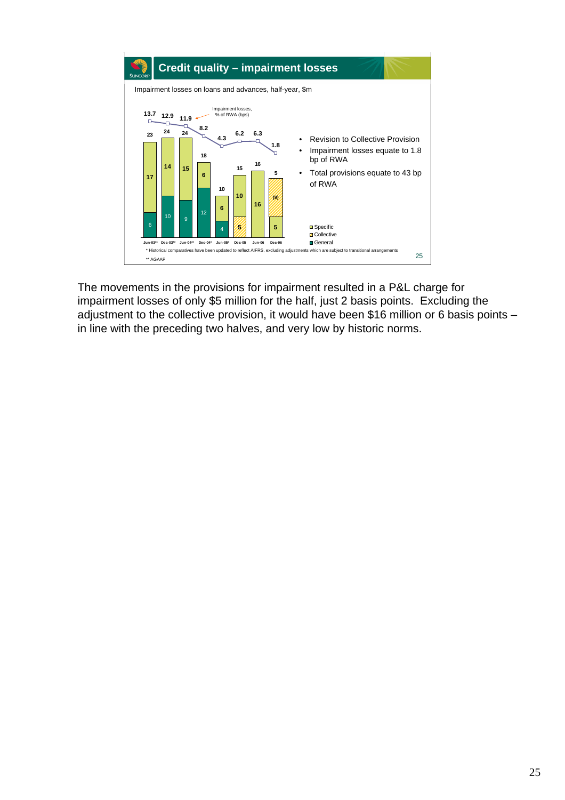

The movements in the provisions for impairment resulted in a P&L charge for impairment losses of only \$5 million for the half, just 2 basis points. Excluding the adjustment to the collective provision, it would have been \$16 million or 6 basis points – in line with the preceding two halves, and very low by historic norms.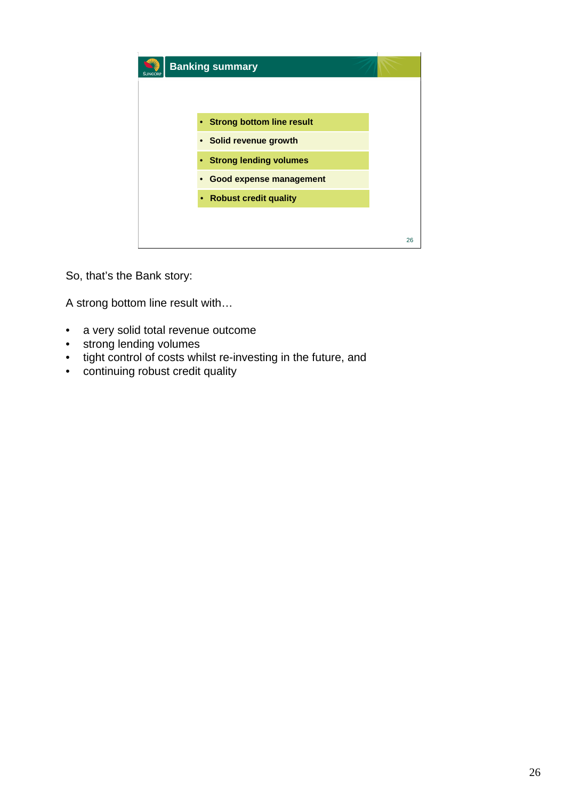| <b>Banking summary</b>                      |    |  |  |  |  |
|---------------------------------------------|----|--|--|--|--|
|                                             |    |  |  |  |  |
| • Strong bottom line result                 |    |  |  |  |  |
| • Solid revenue growth                      |    |  |  |  |  |
| • Strong lending volumes                    |    |  |  |  |  |
| <b>Good expense management</b><br>$\bullet$ |    |  |  |  |  |
| • Robust credit quality                     |    |  |  |  |  |
|                                             |    |  |  |  |  |
|                                             | 26 |  |  |  |  |

So, that's the Bank story:

A strong bottom line result with…

- a very solid total revenue outcome
- strong lending volumes
- tight control of costs whilst re-investing in the future, and
- continuing robust credit quality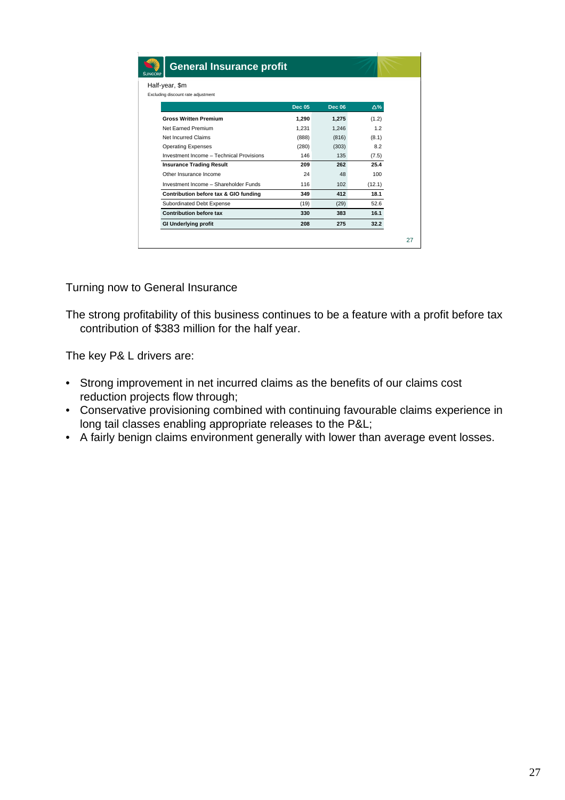| Half-year, \$m                           |               |               |        |
|------------------------------------------|---------------|---------------|--------|
| Excluding discount rate adjustment       |               |               |        |
|                                          | <b>Dec 05</b> | <b>Dec 06</b> | Δ%     |
| <b>Gross Written Premium</b>             | 1.290         | 1,275         | (1.2)  |
| Net Earned Premium                       | 1.231         | 1,246         | 1.2    |
| Net Incurred Claims                      | (888)         | (816)         | (8.1)  |
| <b>Operating Expenses</b>                | (280)         | (303)         | 8.2    |
| Investment Income - Technical Provisions | 146           | 135           | (7.5)  |
| <b>Insurance Trading Result</b>          | 209           | 262           | 25.4   |
| Other Insurance Income                   | 24            | 48            | 100    |
| Investment Income - Shareholder Funds    | 116           | 102           | (12.1) |
| Contribution before tax & GIO funding    | 349           | 412           | 18.1   |
| Subordinated Debt Expense                | (19)          | (29)          | 52.6   |
| <b>Contribution before tax</b>           | 330           | 383           | 16.1   |
| <b>GI Underlying profit</b>              | 208           | 275           | 32.2   |

Turning now to General Insurance

The strong profitability of this business continues to be a feature with a profit before tax contribution of \$383 million for the half year.

The key P& L drivers are:

- Strong improvement in net incurred claims as the benefits of our claims cost reduction projects flow through;
- Conservative provisioning combined with continuing favourable claims experience in long tail classes enabling appropriate releases to the P&L;
- A fairly benign claims environment generally with lower than average event losses.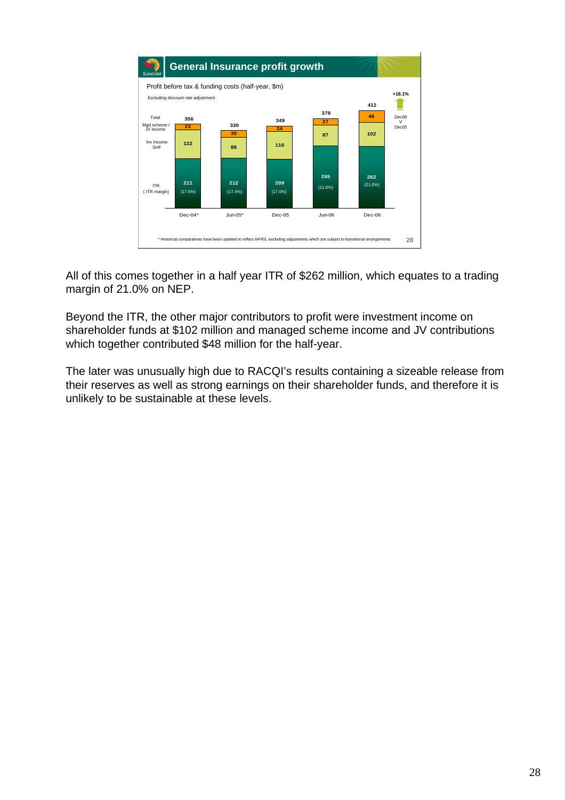

All of this comes together in a half year ITR of \$262 million, which equates to a trading margin of 21.0% on NEP.

Beyond the ITR, the other major contributors to profit were investment income on shareholder funds at \$102 million and managed scheme income and JV contributions which together contributed \$48 million for the half-year.

The later was unusually high due to RACQI's results containing a sizeable release from their reserves as well as strong earnings on their shareholder funds, and therefore it is unlikely to be sustainable at these levels.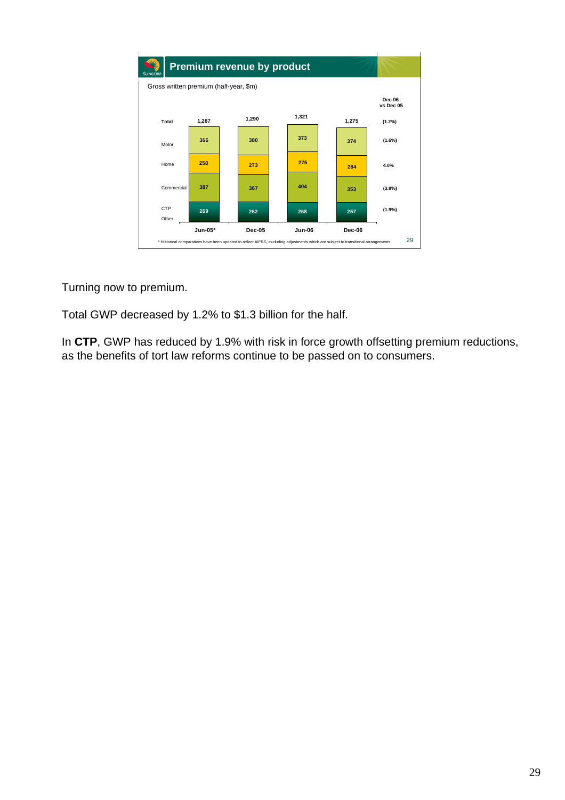

Turning now to premium.

Total GWP decreased by 1.2% to \$1.3 billion for the half.

In **CTP**, GWP has reduced by 1.9% with risk in force growth offsetting premium reductions, as the benefits of tort law reforms continue to be passed on to consumers.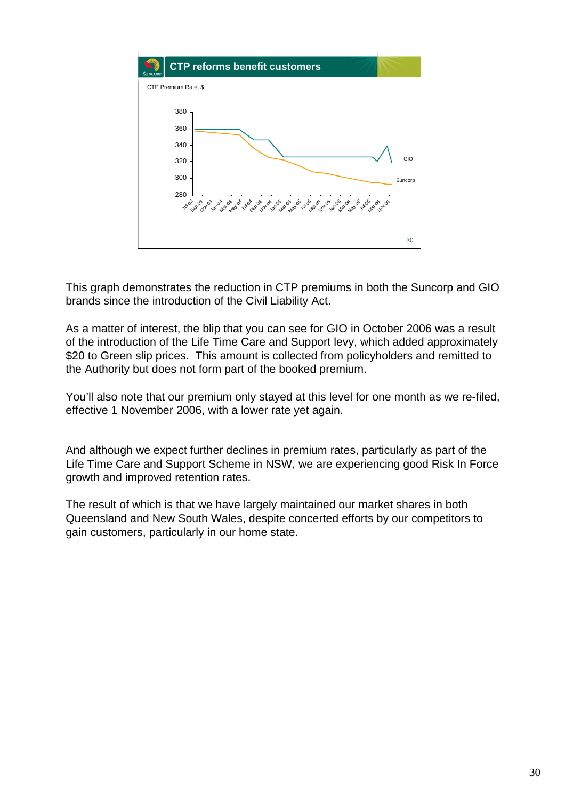

This graph demonstrates the reduction in CTP premiums in both the Suncorp and GIO brands since the introduction of the Civil Liability Act.

As a matter of interest, the blip that you can see for GIO in October 2006 was a result of the introduction of the Life Time Care and Support levy, which added approximately \$20 to Green slip prices. This amount is collected from policyholders and remitted to the Authority but does not form part of the booked premium.

You'll also note that our premium only stayed at this level for one month as we re-filed, effective 1 November 2006, with a lower rate yet again.

And although we expect further declines in premium rates, particularly as part of the Life Time Care and Support Scheme in NSW, we are experiencing good Risk In Force growth and improved retention rates.

The result of which is that we have largely maintained our market shares in both Queensland and New South Wales, despite concerted efforts by our competitors to gain customers, particularly in our home state.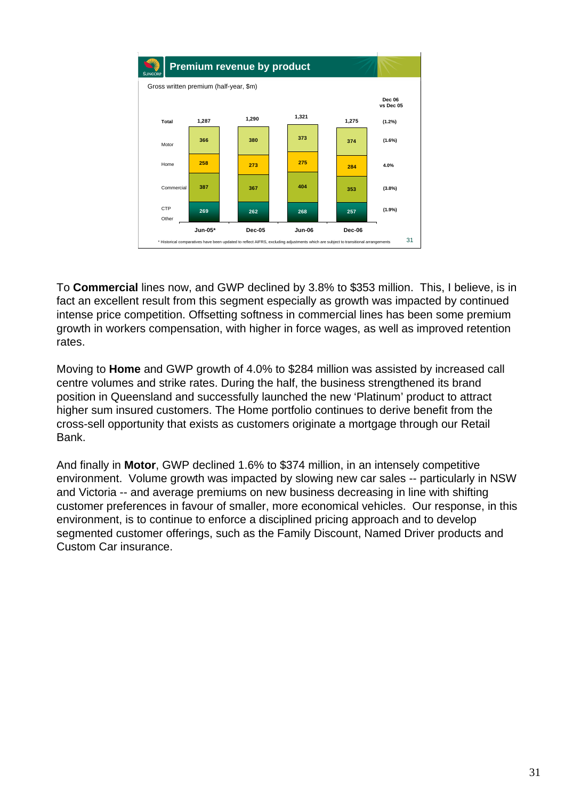

To **Commercial** lines now, and GWP declined by 3.8% to \$353 million. This, I believe, is in fact an excellent result from this segment especially as growth was impacted by continued intense price competition. Offsetting softness in commercial lines has been some premium growth in workers compensation, with higher in force wages, as well as improved retention rates.

Moving to **Home** and GWP growth of 4.0% to \$284 million was assisted by increased call centre volumes and strike rates. During the half, the business strengthened its brand position in Queensland and successfully launched the new 'Platinum' product to attract higher sum insured customers. The Home portfolio continues to derive benefit from the cross-sell opportunity that exists as customers originate a mortgage through our Retail Bank.

And finally in **Motor**, GWP declined 1.6% to \$374 million, in an intensely competitive environment. Volume growth was impacted by slowing new car sales -- particularly in NSW and Victoria -- and average premiums on new business decreasing in line with shifting customer preferences in favour of smaller, more economical vehicles. Our response, in this environment, is to continue to enforce a disciplined pricing approach and to develop segmented customer offerings, such as the Family Discount, Named Driver products and Custom Car insurance.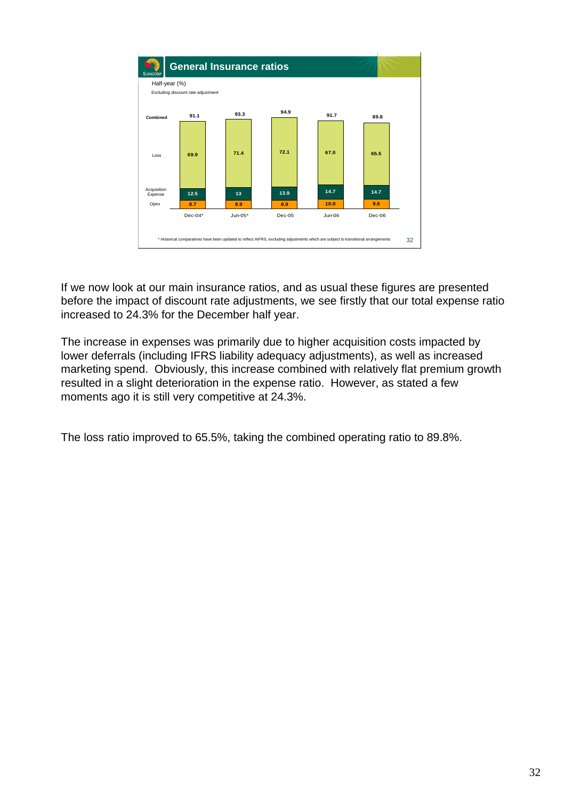

If we now look at our main insurance ratios, and as usual these figures are presented before the impact of discount rate adjustments, we see firstly that our total expense ratio increased to 24.3% for the December half year.

The increase in expenses was primarily due to higher acquisition costs impacted by lower deferrals (including IFRS liability adequacy adjustments), as well as increased marketing spend. Obviously, this increase combined with relatively flat premium growth resulted in a slight deterioration in the expense ratio. However, as stated a few moments ago it is still very competitive at 24.3%.

The loss ratio improved to 65.5%, taking the combined operating ratio to 89.8%.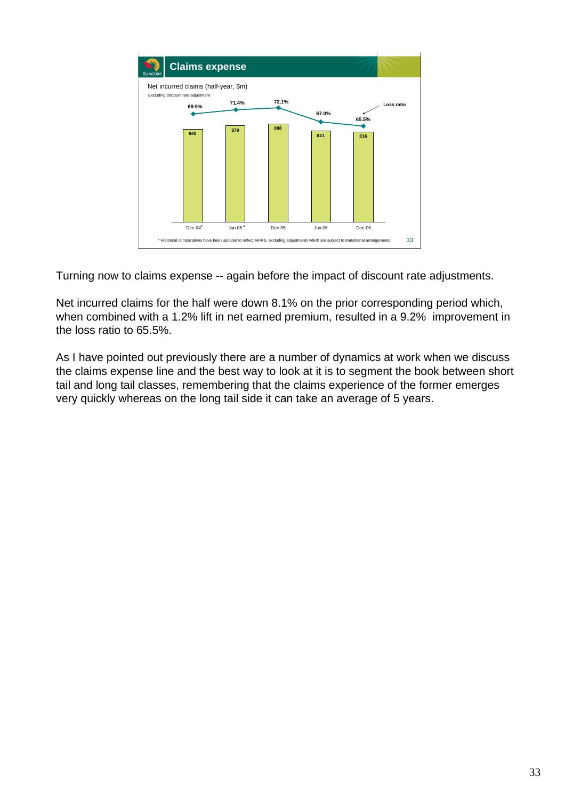

Turning now to claims expense -- again before the impact of discount rate adjustments.

Net incurred claims for the half were down 8.1% on the prior corresponding period which, when combined with a 1.2% lift in net earned premium, resulted in a 9.2% improvement in the loss ratio to 65.5%.

As I have pointed out previously there are a number of dynamics at work when we discuss the claims expense line and the best way to look at it is to segment the book between short tail and long tail classes, remembering that the claims experience of the former emerges very quickly whereas on the long tail side it can take an average of 5 years.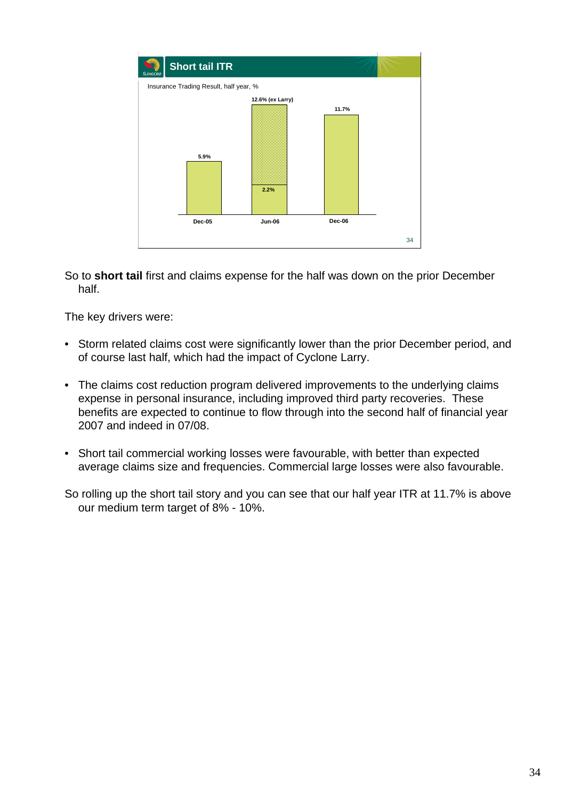

So to **short tail** first and claims expense for the half was down on the prior December half.

The key drivers were:

- Storm related claims cost were significantly lower than the prior December period, and of course last half, which had the impact of Cyclone Larry.
- The claims cost reduction program delivered improvements to the underlying claims expense in personal insurance, including improved third party recoveries. These benefits are expected to continue to flow through into the second half of financial year 2007 and indeed in 07/08.
- Short tail commercial working losses were favourable, with better than expected average claims size and frequencies. Commercial large losses were also favourable.

So rolling up the short tail story and you can see that our half year ITR at 11.7% is above our medium term target of 8% - 10%.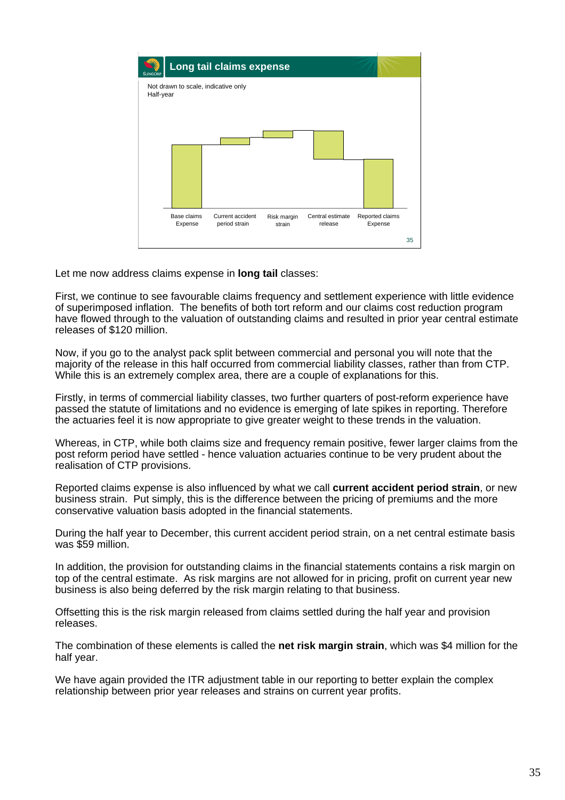

Let me now address claims expense in **long tail** classes:

First, we continue to see favourable claims frequency and settlement experience with little evidence of superimposed inflation. The benefits of both tort reform and our claims cost reduction program have flowed through to the valuation of outstanding claims and resulted in prior year central estimate releases of \$120 million.

Now, if you go to the analyst pack split between commercial and personal you will note that the majority of the release in this half occurred from commercial liability classes, rather than from CTP. While this is an extremely complex area, there are a couple of explanations for this.

Firstly, in terms of commercial liability classes, two further quarters of post-reform experience have passed the statute of limitations and no evidence is emerging of late spikes in reporting. Therefore the actuaries feel it is now appropriate to give greater weight to these trends in the valuation.

Whereas, in CTP, while both claims size and frequency remain positive, fewer larger claims from the post reform period have settled - hence valuation actuaries continue to be very prudent about the realisation of CTP provisions.

Reported claims expense is also influenced by what we call **current accident period strain**, or new business strain. Put simply, this is the difference between the pricing of premiums and the more conservative valuation basis adopted in the financial statements.

During the half year to December, this current accident period strain, on a net central estimate basis was \$59 million.

In addition, the provision for outstanding claims in the financial statements contains a risk margin on top of the central estimate. As risk margins are not allowed for in pricing, profit on current year new business is also being deferred by the risk margin relating to that business.

Offsetting this is the risk margin released from claims settled during the half year and provision releases.

The combination of these elements is called the **net risk margin strain**, which was \$4 million for the half year.

We have again provided the ITR adjustment table in our reporting to better explain the complex relationship between prior year releases and strains on current year profits.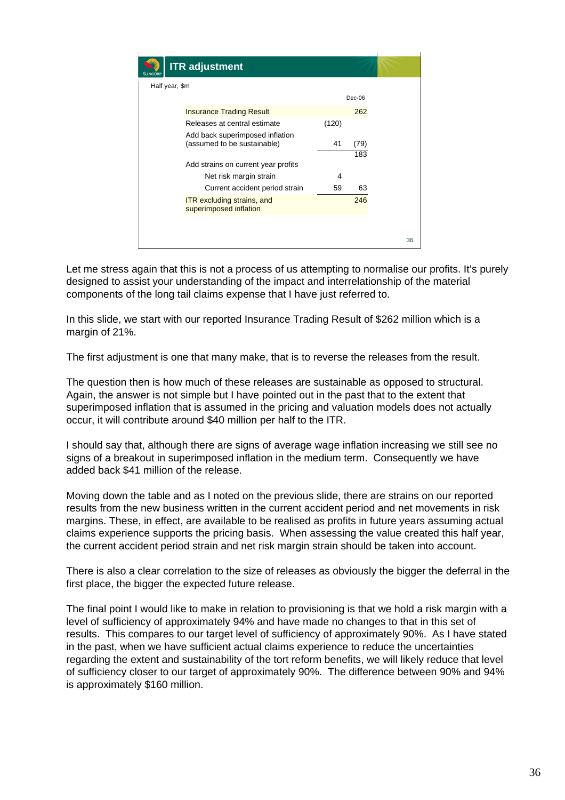

Let me stress again that this is not a process of us attempting to normalise our profits. It's purely designed to assist your understanding of the impact and interrelationship of the material components of the long tail claims expense that I have just referred to.

In this slide, we start with our reported Insurance Trading Result of \$262 million which is a margin of 21%.

The first adjustment is one that many make, that is to reverse the releases from the result.

The question then is how much of these releases are sustainable as opposed to structural. Again, the answer is not simple but I have pointed out in the past that to the extent that superimposed inflation that is assumed in the pricing and valuation models does not actually occur, it will contribute around \$40 million per half to the ITR.

I should say that, although there are signs of average wage inflation increasing we still see no signs of a breakout in superimposed inflation in the medium term. Consequently we have added back \$41 million of the release.

Moving down the table and as I noted on the previous slide, there are strains on our reported results from the new business written in the current accident period and net movements in risk margins. These, in effect, are available to be realised as profits in future years assuming actual claims experience supports the pricing basis. When assessing the value created this half year, the current accident period strain and net risk margin strain should be taken into account.

There is also a clear correlation to the size of releases as obviously the bigger the deferral in the first place, the bigger the expected future release.

The final point I would like to make in relation to provisioning is that we hold a risk margin with a level of sufficiency of approximately 94% and have made no changes to that in this set of results. This compares to our target level of sufficiency of approximately 90%. As I have stated in the past, when we have sufficient actual claims experience to reduce the uncertainties regarding the extent and sustainability of the tort reform benefits, we will likely reduce that level of sufficiency closer to our target of approximately 90%. The difference between 90% and 94% is approximately \$160 million.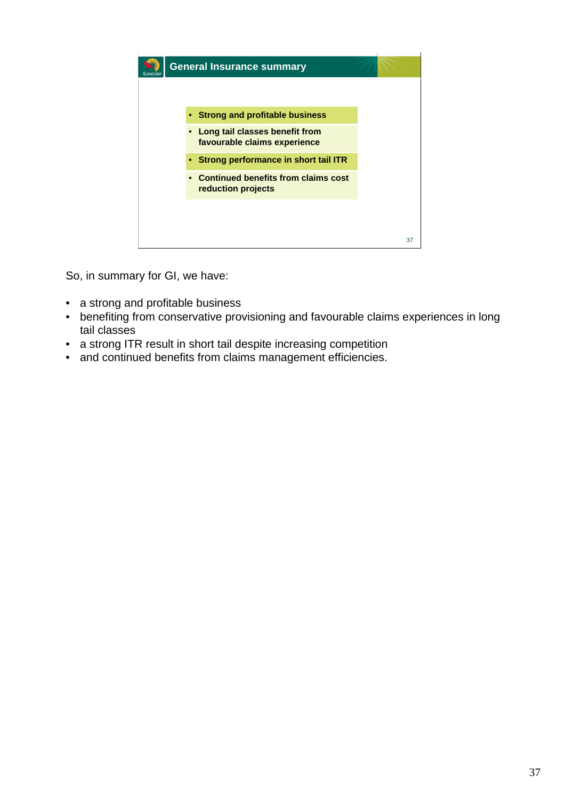

So, in summary for GI, we have:

- a strong and profitable business
- benefiting from conservative provisioning and favourable claims experiences in long tail classes
- a strong ITR result in short tail despite increasing competition
- and continued benefits from claims management efficiencies.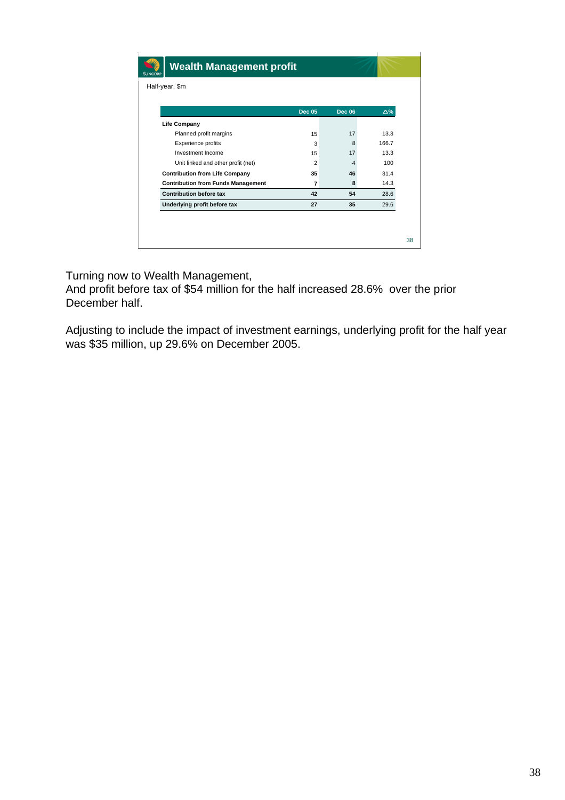| <b>Wealth Management profit</b><br><b>SUNCORP</b> |                |                |       |  |
|---------------------------------------------------|----------------|----------------|-------|--|
| Half-year, \$m                                    |                |                |       |  |
|                                                   |                |                |       |  |
|                                                   | <b>Dec 05</b>  | <b>Dec 06</b>  | Δ%    |  |
| <b>Life Company</b>                               |                |                |       |  |
| Planned profit margins                            | 15             | 17             | 13.3  |  |
| Experience profits                                | 3              | 8              | 166.7 |  |
| Investment Income                                 | 15             | 17             | 13.3  |  |
| Unit linked and other profit (net)                | $\overline{2}$ | $\overline{4}$ | 100   |  |
| <b>Contribution from Life Company</b>             | 35             | 46             | 31.4  |  |
| <b>Contribution from Funds Management</b>         | $\overline{7}$ | 8              | 14.3  |  |
| <b>Contribution before tax</b>                    | 42             | 54             | 28.6  |  |
| Underlying profit before tax                      | 27             | 35             | 29.6  |  |

Turning now to Wealth Management,

And profit before tax of \$54 million for the half increased 28.6% over the prior December half.

Adjusting to include the impact of investment earnings, underlying profit for the half year was \$35 million, up 29.6% on December 2005.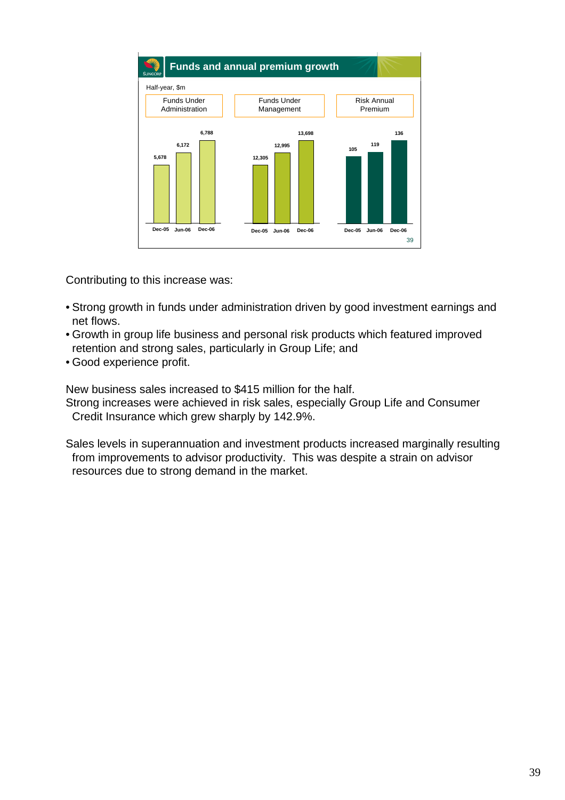

Contributing to this increase was:

- Strong growth in funds under administration driven by good investment earnings and net flows.
- Growth in group life business and personal risk products which featured improved retention and strong sales, particularly in Group Life; and
- Good experience profit.

New business sales increased to \$415 million for the half.

Strong increases were achieved in risk sales, especially Group Life and Consumer Credit Insurance which grew sharply by 142.9%.

Sales levels in superannuation and investment products increased marginally resulting from improvements to advisor productivity. This was despite a strain on advisor resources due to strong demand in the market.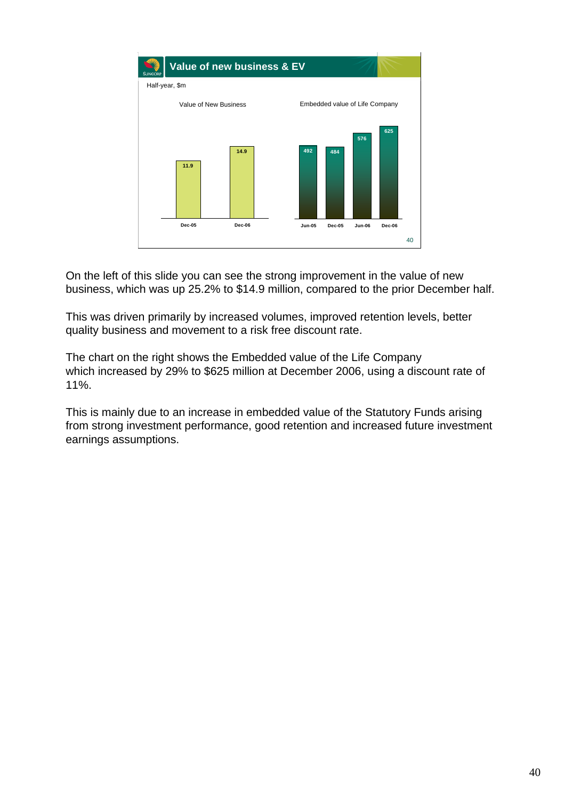

On the left of this slide you can see the strong improvement in the value of new business, which was up 25.2% to \$14.9 million, compared to the prior December half.

This was driven primarily by increased volumes, improved retention levels, better quality business and movement to a risk free discount rate.

The chart on the right shows the Embedded value of the Life Company which increased by 29% to \$625 million at December 2006, using a discount rate of 11%.

This is mainly due to an increase in embedded value of the Statutory Funds arising from strong investment performance, good retention and increased future investment earnings assumptions.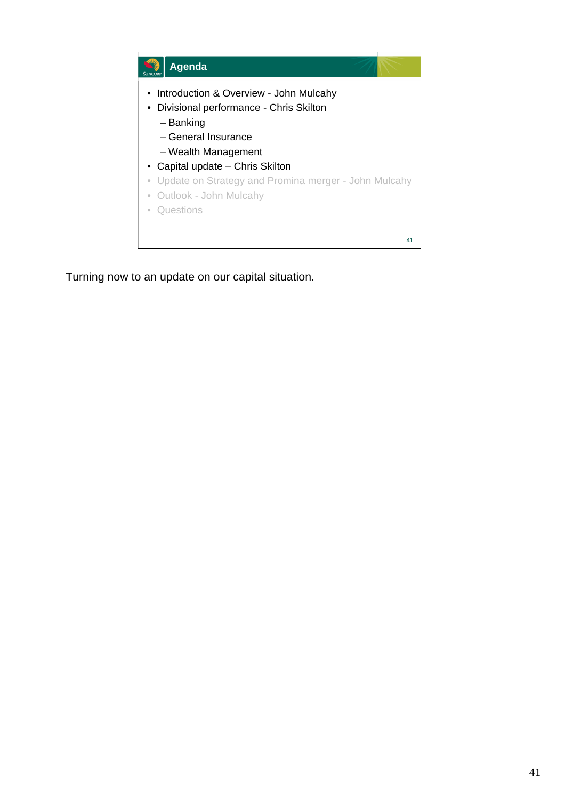

Turning now to an update on our capital situation.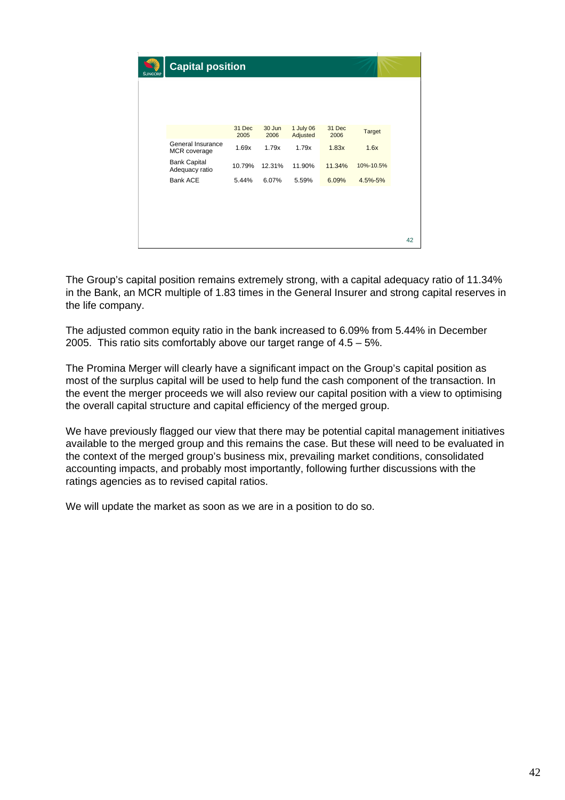| <b>SUNCORP</b> | <b>Capital position</b>               |                |                |                       |                |               |    |
|----------------|---------------------------------------|----------------|----------------|-----------------------|----------------|---------------|----|
|                |                                       |                |                |                       |                |               |    |
|                |                                       |                |                |                       |                |               |    |
|                |                                       | 31 Dec<br>2005 | 30 Jun<br>2006 | 1 July 06<br>Adjusted | 31 Dec<br>2006 | <b>Target</b> |    |
|                | General Insurance<br>MCR coverage     | 1.69x          | 1.79x          | 1.79x                 | 1.83x          | 1.6x          |    |
|                | <b>Bank Capital</b><br>Adequacy ratio | 10.79%         | 12.31%         | 11.90%                | 11.34%         | 10%-10.5%     |    |
|                | <b>Bank ACE</b>                       | 5.44%          | 6.07%          | 5.59%                 | 6.09%          | 4.5%-5%       |    |
|                |                                       |                |                |                       |                |               |    |
|                |                                       |                |                |                       |                |               |    |
|                |                                       |                |                |                       |                |               |    |
|                |                                       |                |                |                       |                |               | 42 |

The Group's capital position remains extremely strong, with a capital adequacy ratio of 11.34% in the Bank, an MCR multiple of 1.83 times in the General Insurer and strong capital reserves in the life company.

The adjusted common equity ratio in the bank increased to 6.09% from 5.44% in December 2005. This ratio sits comfortably above our target range of  $4.5 - 5\%$ .

The Promina Merger will clearly have a significant impact on the Group's capital position as most of the surplus capital will be used to help fund the cash component of the transaction. In the event the merger proceeds we will also review our capital position with a view to optimising the overall capital structure and capital efficiency of the merged group.

We have previously flagged our view that there may be potential capital management initiatives available to the merged group and this remains the case. But these will need to be evaluated in the context of the merged group's business mix, prevailing market conditions, consolidated accounting impacts, and probably most importantly, following further discussions with the ratings agencies as to revised capital ratios.

We will update the market as soon as we are in a position to do so.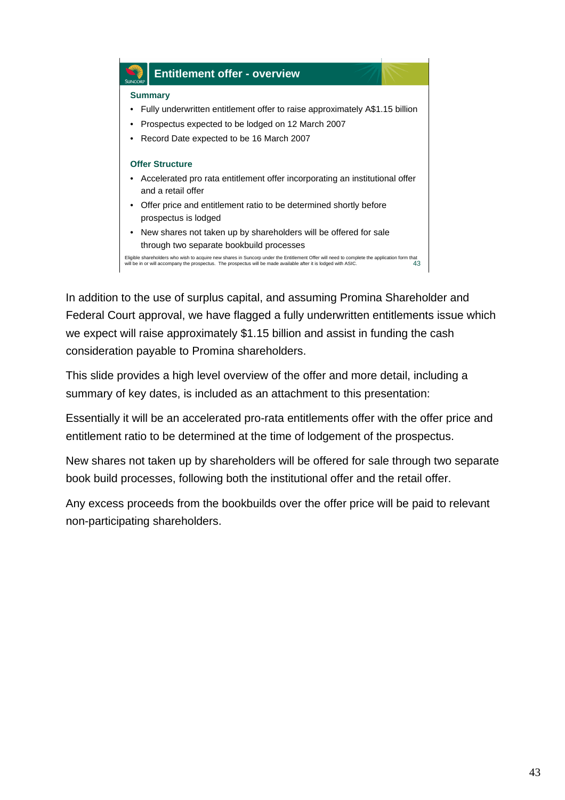

In addition to the use of surplus capital, and assuming Promina Shareholder and Federal Court approval, we have flagged a fully underwritten entitlements issue which we expect will raise approximately \$1.15 billion and assist in funding the cash consideration payable to Promina shareholders.

This slide provides a high level overview of the offer and more detail, including a summary of key dates, is included as an attachment to this presentation:

Essentially it will be an accelerated pro-rata entitlements offer with the offer price and entitlement ratio to be determined at the time of lodgement of the prospectus.

New shares not taken up by shareholders will be offered for sale through two separate book build processes, following both the institutional offer and the retail offer.

Any excess proceeds from the bookbuilds over the offer price will be paid to relevant non-participating shareholders.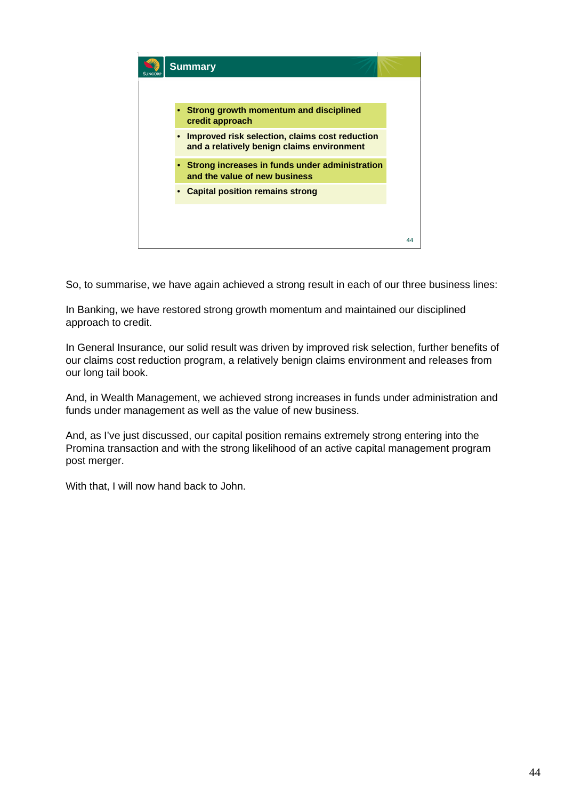

So, to summarise, we have again achieved a strong result in each of our three business lines:

In Banking, we have restored strong growth momentum and maintained our disciplined approach to credit.

In General Insurance, our solid result was driven by improved risk selection, further benefits of our claims cost reduction program, a relatively benign claims environment and releases from our long tail book.

And, in Wealth Management, we achieved strong increases in funds under administration and funds under management as well as the value of new business.

And, as I've just discussed, our capital position remains extremely strong entering into the Promina transaction and with the strong likelihood of an active capital management program post merger.

With that, I will now hand back to John.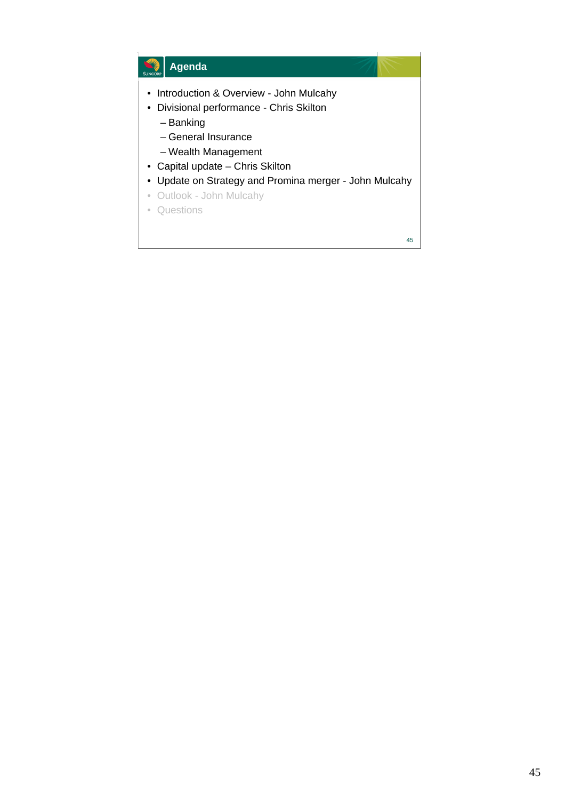## **Agenda**

- Introduction & Overview John Mulcahy
- Divisional performance Chris Skilton
	- Banking
	- General Insurance
	- Wealth Management
- Capital update Chris Skilton
- Update on Strategy and Promina merger John Mulcahy
- Outlook John Mulcahy
- Questions

45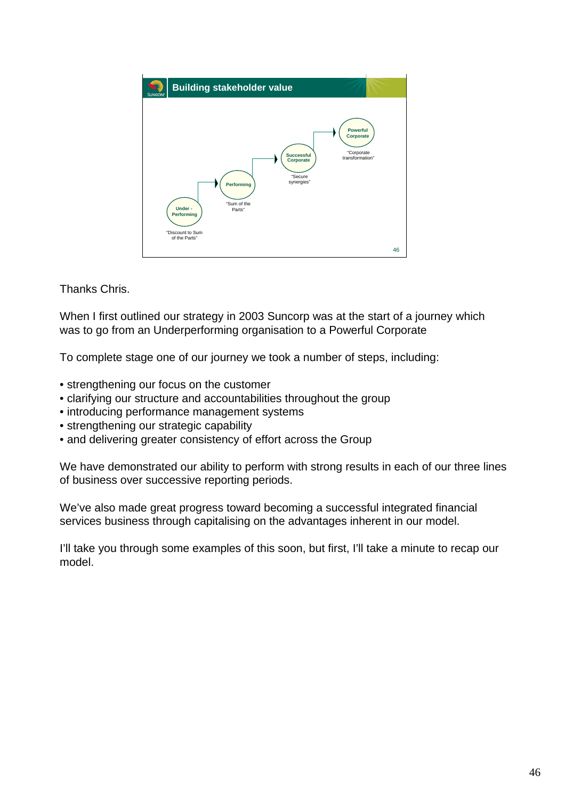

Thanks Chris.

When I first outlined our strategy in 2003 Suncorp was at the start of a journey which was to go from an Underperforming organisation to a Powerful Corporate

To complete stage one of our journey we took a number of steps, including:

- strengthening our focus on the customer
- clarifying our structure and accountabilities throughout the group
- introducing performance management systems
- strengthening our strategic capability
- and delivering greater consistency of effort across the Group

We have demonstrated our ability to perform with strong results in each of our three lines of business over successive reporting periods.

We've also made great progress toward becoming a successful integrated financial services business through capitalising on the advantages inherent in our model.

I'll take you through some examples of this soon, but first, I'll take a minute to recap our model.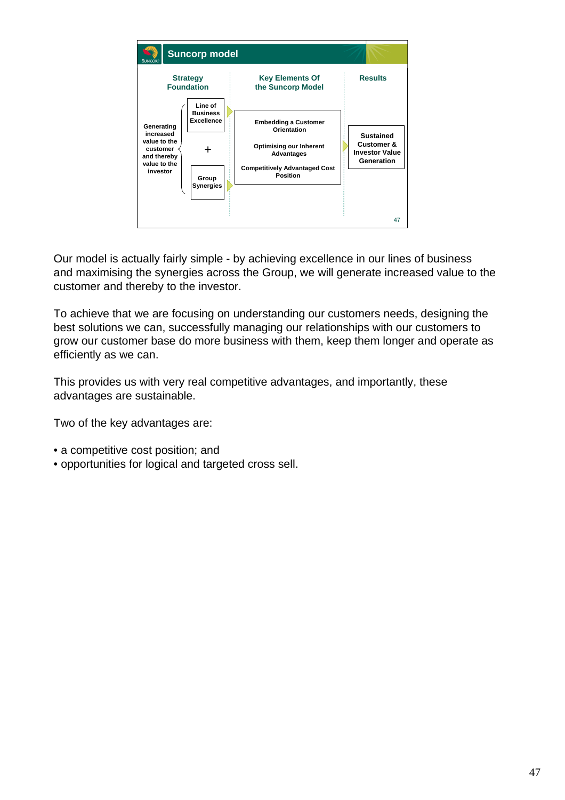

Our model is actually fairly simple - by achieving excellence in our lines of business and maximising the synergies across the Group, we will generate increased value to the customer and thereby to the investor.

To achieve that we are focusing on understanding our customers needs, designing the best solutions we can, successfully managing our relationships with our customers to grow our customer base do more business with them, keep them longer and operate as efficiently as we can.

This provides us with very real competitive advantages, and importantly, these advantages are sustainable.

Two of the key advantages are:

- a competitive cost position; and
- opportunities for logical and targeted cross sell.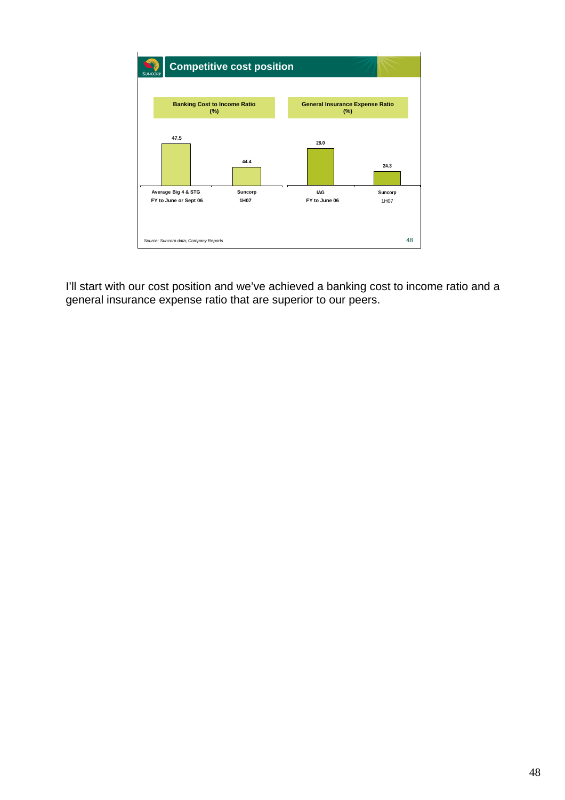

I'll start with our cost position and we've achieved a banking cost to income ratio and a general insurance expense ratio that are superior to our peers.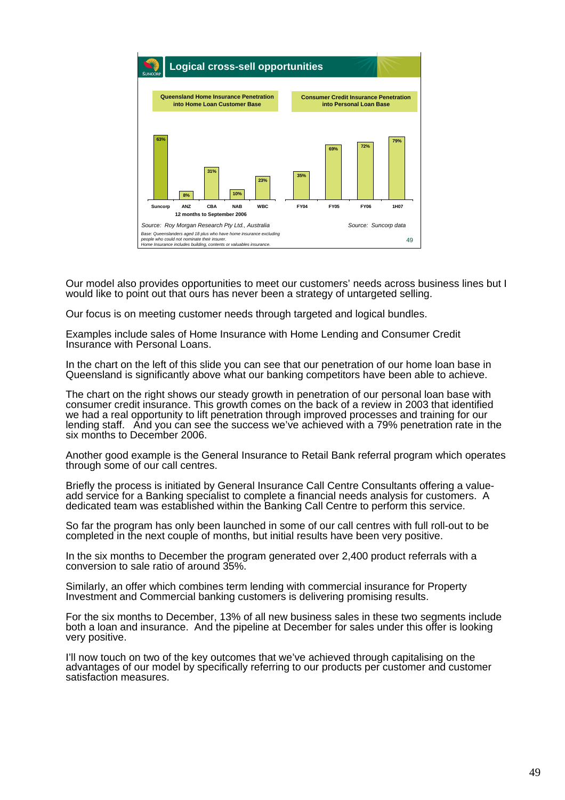

Our model also provides opportunities to meet our customers' needs across business lines but I would like to point out that ours has never been a strategy of untargeted selling.

Our focus is on meeting customer needs through targeted and logical bundles.

Examples include sales of Home Insurance with Home Lending and Consumer Credit Insurance with Personal Loans.

In the chart on the left of this slide you can see that our penetration of our home loan base in Queensland is significantly above what our banking competitors have been able to achieve.

The chart on the right shows our steady growth in penetration of our personal loan base with consumer credit insurance. This growth comes on the back of a review in 2003 that identified we had a real opportunity to lift penetration through improved processes and training for our lending staff. And you can see the success we've achieved with a 79% penetration rate in the six months to December 2006.

Another good example is the General Insurance to Retail Bank referral program which operates through some of our call centres.

Briefly the process is initiated by General Insurance Call Centre Consultants offering a valueadd service for a Banking specialist to complete a financial needs analysis for customers. A dedicated team was established within the Banking Call Centre to perform this service.

So far the program has only been launched in some of our call centres with full roll-out to be completed in the next couple of months, but initial results have been very positive.

In the six months to December the program generated over 2,400 product referrals with a conversion to sale ratio of around 35%.

Similarly, an offer which combines term lending with commercial insurance for Property Investment and Commercial banking customers is delivering promising results.

For the six months to December, 13% of all new business sales in these two segments include both a loan and insurance. And the pipeline at December for sales under this offer is looking very positive.

I'll now touch on two of the key outcomes that we've achieved through capitalising on the advantages of our model by specifically referring to our products per customer and customer satisfaction measures.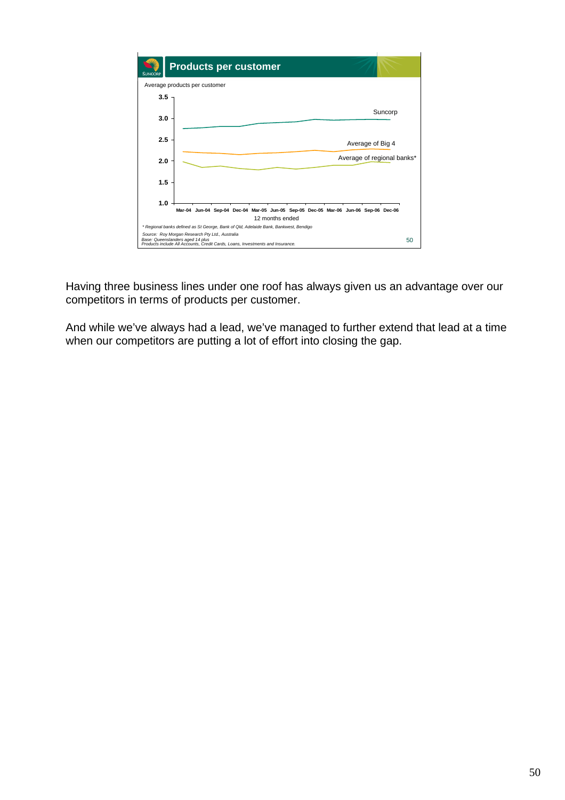

Having three business lines under one roof has always given us an advantage over our competitors in terms of products per customer.

And while we've always had a lead, we've managed to further extend that lead at a time when our competitors are putting a lot of effort into closing the gap.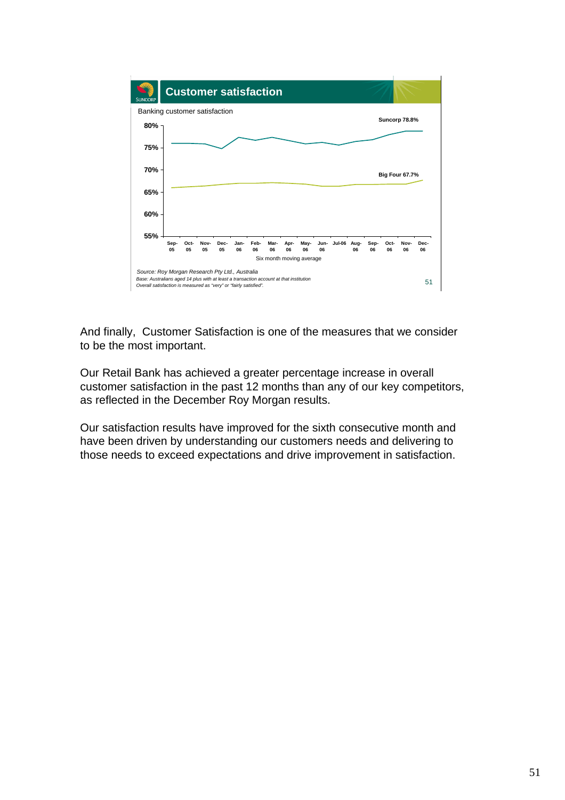

And finally, Customer Satisfaction is one of the measures that we consider to be the most important.

Our Retail Bank has achieved a greater percentage increase in overall customer satisfaction in the past 12 months than any of our key competitors, as reflected in the December Roy Morgan results.

Our satisfaction results have improved for the sixth consecutive month and have been driven by understanding our customers needs and delivering to those needs to exceed expectations and drive improvement in satisfaction.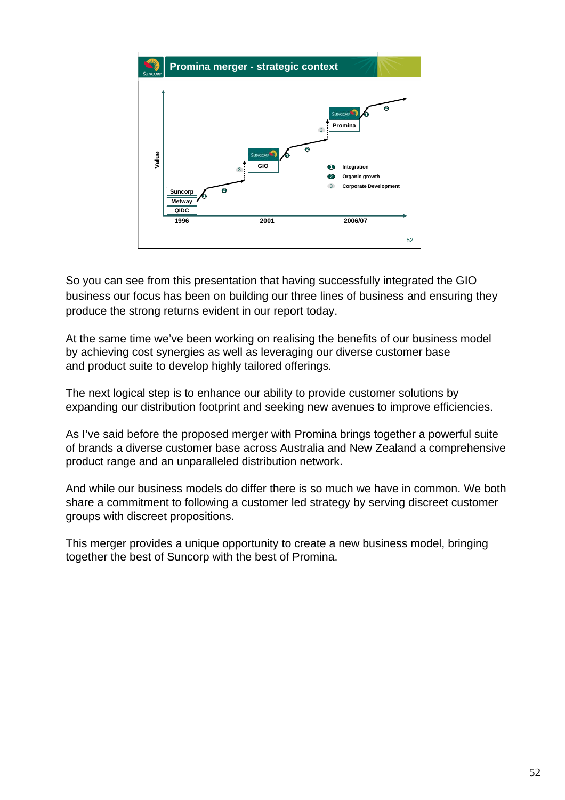

So you can see from this presentation that having successfully integrated the GIO business our focus has been on building our three lines of business and ensuring they produce the strong returns evident in our report today.

At the same time we've been working on realising the benefits of our business model by achieving cost synergies as well as leveraging our diverse customer base and product suite to develop highly tailored offerings.

The next logical step is to enhance our ability to provide customer solutions by expanding our distribution footprint and seeking new avenues to improve efficiencies.

As I've said before the proposed merger with Promina brings together a powerful suite of brands a diverse customer base across Australia and New Zealand a comprehensive product range and an unparalleled distribution network.

And while our business models do differ there is so much we have in common. We both share a commitment to following a customer led strategy by serving discreet customer groups with discreet propositions.

This merger provides a unique opportunity to create a new business model, bringing together the best of Suncorp with the best of Promina.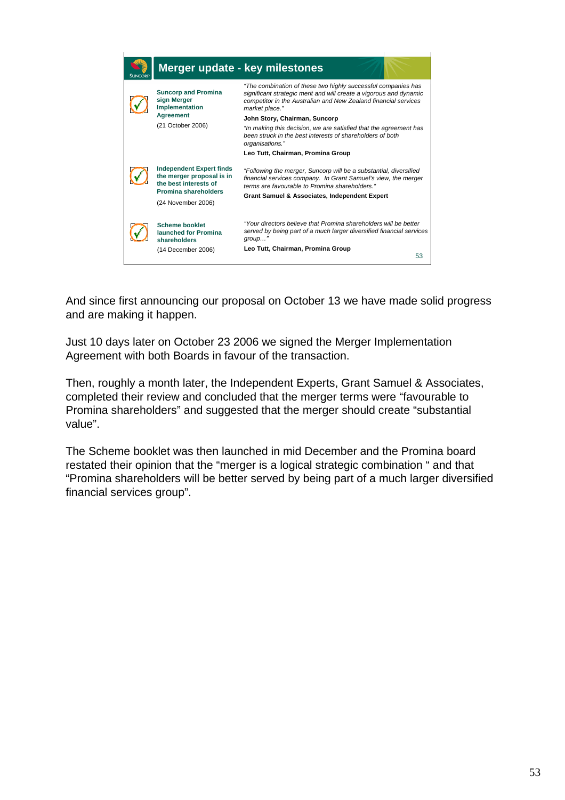|                                                             |                                                                                                               | Merger update - key milestones                                                                                                                                                                                           |
|-------------------------------------------------------------|---------------------------------------------------------------------------------------------------------------|--------------------------------------------------------------------------------------------------------------------------------------------------------------------------------------------------------------------------|
| <b>Suncorp and Promina</b><br>sign Merger<br>Implementation |                                                                                                               | "The combination of these two highly successful companies has<br>significant strategic merit and will create a vigorous and dynamic<br>competitor in the Australian and New Zealand financial services<br>market place." |
|                                                             | <b>Agreement</b>                                                                                              | John Story, Chairman, Suncorp                                                                                                                                                                                            |
|                                                             | (21 October 2006)                                                                                             | "In making this decision, we are satisfied that the agreement has<br>been struck in the best interests of shareholders of both<br>organisations."                                                                        |
|                                                             |                                                                                                               | Leo Tutt, Chairman, Promina Group                                                                                                                                                                                        |
|                                                             | <b>Independent Expert finds</b><br>the merger proposal is in<br>the best interests of<br>Promina shareholders | "Following the merger, Suncorp will be a substantial, diversified<br>financial services company. In Grant Samuel's view, the merger<br>terms are favourable to Promina shareholders "                                    |
| (24 November 2006)                                          |                                                                                                               | Grant Samuel & Associates, Independent Expert                                                                                                                                                                            |
|                                                             |                                                                                                               | "Your directors believe that Promina shareholders will be better                                                                                                                                                         |
|                                                             | <b>Scheme booklet</b><br>launched for Promina<br>shareholders                                                 | served by being part of a much larger diversified financial services<br>$group$ "                                                                                                                                        |
|                                                             | (14 December 2006)                                                                                            | Leo Tutt, Chairman, Promina Group                                                                                                                                                                                        |
|                                                             |                                                                                                               | 53                                                                                                                                                                                                                       |

And since first announcing our proposal on October 13 we have made solid progress and are making it happen.

Just 10 days later on October 23 2006 we signed the Merger Implementation Agreement with both Boards in favour of the transaction.

Then, roughly a month later, the Independent Experts, Grant Samuel & Associates, completed their review and concluded that the merger terms were "favourable to Promina shareholders" and suggested that the merger should create "substantial value".

The Scheme booklet was then launched in mid December and the Promina board restated their opinion that the "merger is a logical strategic combination " and that "Promina shareholders will be better served by being part of a much larger diversified financial services group".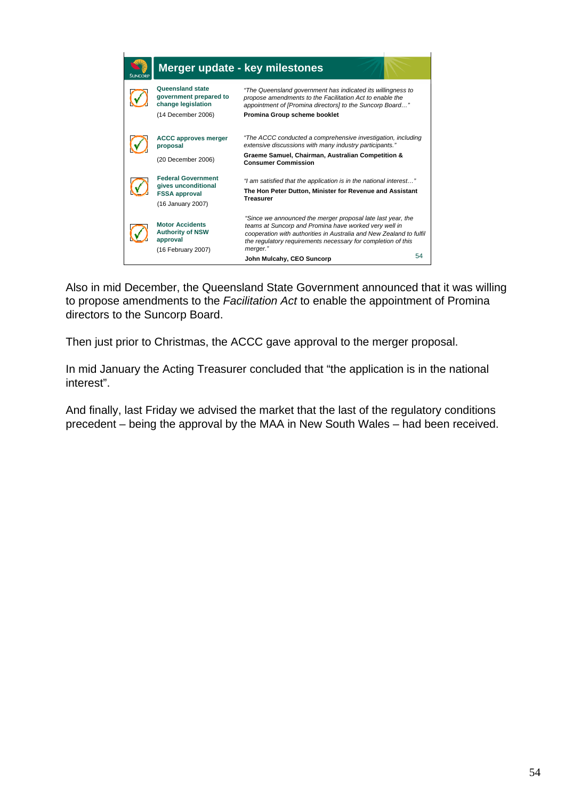

Also in mid December, the Queensland State Government announced that it was willing to propose amendments to the *Facilitation Act* to enable the appointment of Promina directors to the Suncorp Board.

Then just prior to Christmas, the ACCC gave approval to the merger proposal.

In mid January the Acting Treasurer concluded that "the application is in the national interest".

And finally, last Friday we advised the market that the last of the regulatory conditions precedent – being the approval by the MAA in New South Wales – had been received.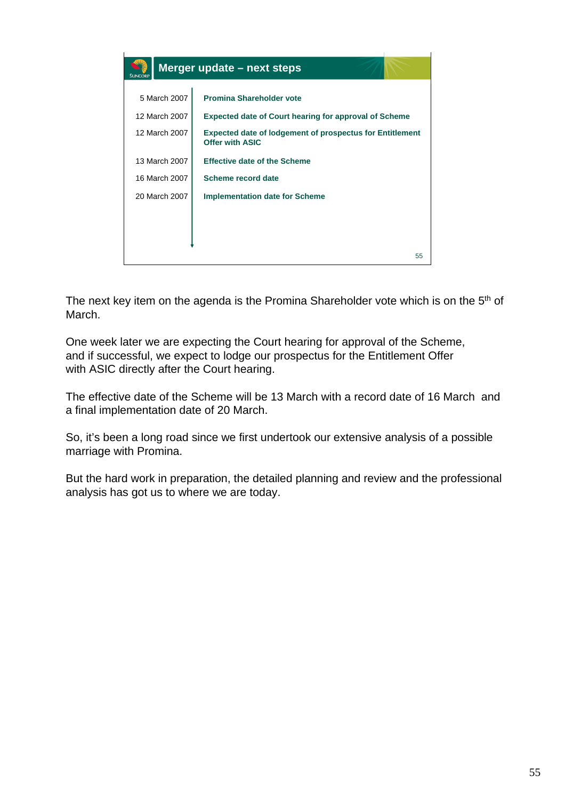|                                                                               | Merger update - next steps                                                                |
|-------------------------------------------------------------------------------|-------------------------------------------------------------------------------------------|
| 5 March 2007                                                                  | <b>Promina Shareholder vote</b>                                                           |
| 12 March 2007<br><b>Expected date of Court hearing for approval of Scheme</b> |                                                                                           |
| 12 March 2007                                                                 | <b>Expected date of lodgement of prospectus for Entitlement</b><br><b>Offer with ASIC</b> |
| 13 March 2007                                                                 | <b>Effective date of the Scheme</b>                                                       |
| 16 March 2007                                                                 | Scheme record date                                                                        |
| 20 March 2007                                                                 | <b>Implementation date for Scheme</b>                                                     |
|                                                                               |                                                                                           |
|                                                                               |                                                                                           |
|                                                                               | 55                                                                                        |

The next key item on the agenda is the Promina Shareholder vote which is on the 5<sup>th</sup> of March.

One week later we are expecting the Court hearing for approval of the Scheme, and if successful, we expect to lodge our prospectus for the Entitlement Offer with ASIC directly after the Court hearing.

The effective date of the Scheme will be 13 March with a record date of 16 March and a final implementation date of 20 March.

So, it's been a long road since we first undertook our extensive analysis of a possible marriage with Promina.

But the hard work in preparation, the detailed planning and review and the professional analysis has got us to where we are today.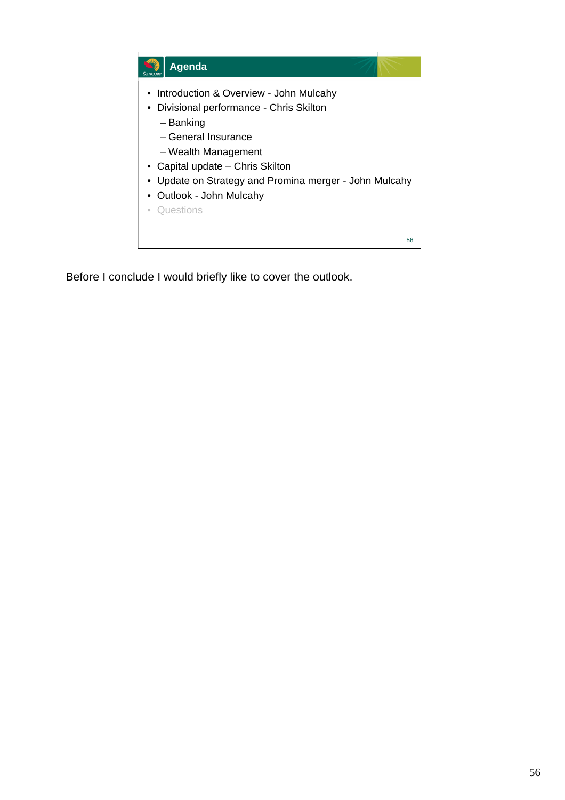

Before I conclude I would briefly like to cover the outlook.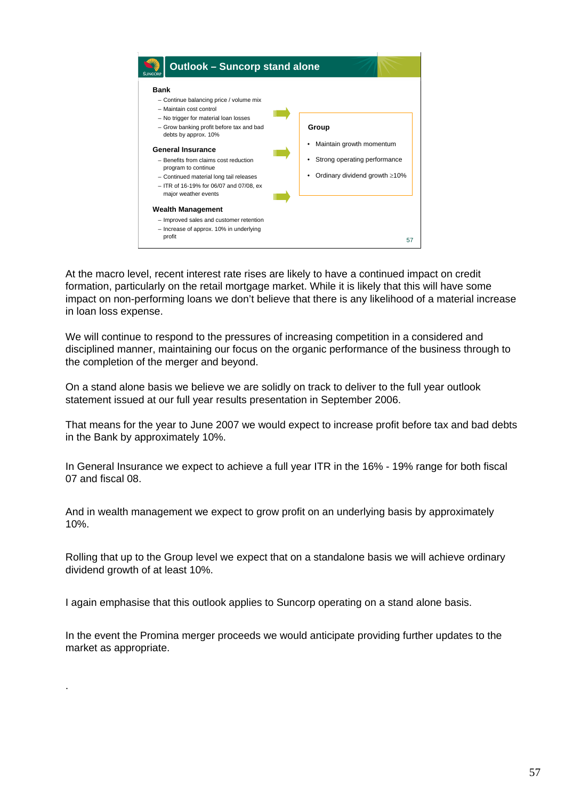

At the macro level, recent interest rate rises are likely to have a continued impact on credit formation, particularly on the retail mortgage market. While it is likely that this will have some impact on non-performing loans we don't believe that there is any likelihood of a material increase in loan loss expense.

We will continue to respond to the pressures of increasing competition in a considered and disciplined manner, maintaining our focus on the organic performance of the business through to the completion of the merger and beyond.

On a stand alone basis we believe we are solidly on track to deliver to the full year outlook statement issued at our full year results presentation in September 2006.

That means for the year to June 2007 we would expect to increase profit before tax and bad debts in the Bank by approximately 10%.

In General Insurance we expect to achieve a full year ITR in the 16% - 19% range for both fiscal 07 and fiscal 08.

And in wealth management we expect to grow profit on an underlying basis by approximately 10%.

Rolling that up to the Group level we expect that on a standalone basis we will achieve ordinary dividend growth of at least 10%.

I again emphasise that this outlook applies to Suncorp operating on a stand alone basis.

.

In the event the Promina merger proceeds we would anticipate providing further updates to the market as appropriate.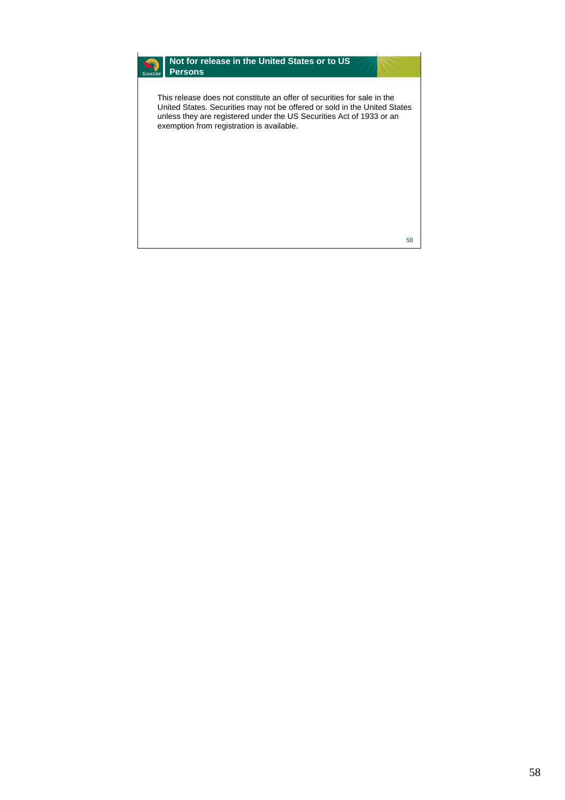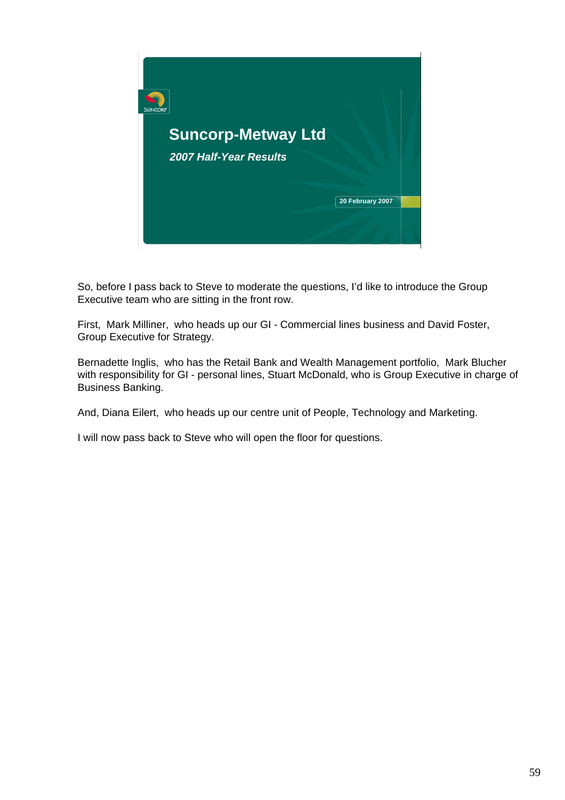

So, before I pass back to Steve to moderate the questions, I'd like to introduce the Group Executive team who are sitting in the front row.

First, Mark Milliner, who heads up our GI - Commercial lines business and David Foster, Group Executive for Strategy.

Bernadette Inglis, who has the Retail Bank and Wealth Management portfolio, Mark Blucher with responsibility for GI - personal lines, Stuart McDonald, who is Group Executive in charge of Business Banking.

And, Diana Eilert, who heads up our centre unit of People, Technology and Marketing.

I will now pass back to Steve who will open the floor for questions.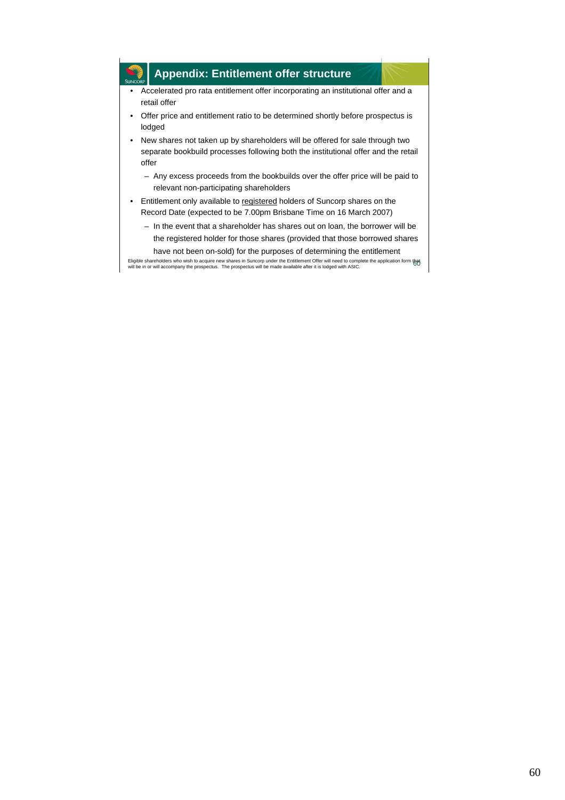## **Appendix: Entitlement offer structure**

- Accelerated pro rata entitlement offer incorporating an institutional offer and a retail offer
- Offer price and entitlement ratio to be determined shortly before prospectus is lodged
- New shares not taken up by shareholders will be offered for sale through two separate bookbuild processes following both the institutional offer and the retail offer
	- Any excess proceeds from the bookbuilds over the offer price will be paid to relevant non-participating shareholders
- Entitlement only available to registered holders of Suncorp shares on the Record Date (expected to be 7.00pm Brisbane Time on 16 March 2007)
	- In the event that a shareholder has shares out on loan, the borrower will be the registered holder for those shares (provided that those borrowed shares have not been on-sold) for the purposes of determining the entitlement

Eligible shareholders who wish to acquire new shares in Suncorp under the Entitlement Offer will need to complete the application form that<br>will be in or will accompany the prospectus. The prospectus will be made available